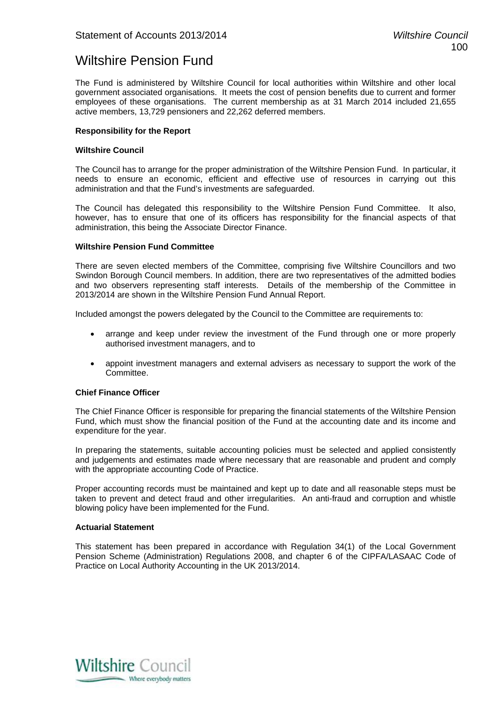### Wiltshire Pension Fund

The Fund is administered by Wiltshire Council for local authorities within Wiltshire and other local government associated organisations. It meets the cost of pension benefits due to current and former employees of these organisations. The current membership as at 31 March 2014 included 21,655 active members, 13,729 pensioners and 22,262 deferred members.

#### **Responsibility for the Report**

#### **Wiltshire Council**

The Council has to arrange for the proper administration of the Wiltshire Pension Fund. In particular, it needs to ensure an economic, efficient and effective use of resources in carrying out this administration and that the Fund's investments are safeguarded.

The Council has delegated this responsibility to the Wiltshire Pension Fund Committee. It also, however, has to ensure that one of its officers has responsibility for the financial aspects of that administration, this being the Associate Director Finance.

#### **Wiltshire Pension Fund Committee**

There are seven elected members of the Committee, comprising five Wiltshire Councillors and two Swindon Borough Council members. In addition, there are two representatives of the admitted bodies and two observers representing staff interests. Details of the membership of the Committee in 2013/2014 are shown in the Wiltshire Pension Fund Annual Report.

Included amongst the powers delegated by the Council to the Committee are requirements to:

- arrange and keep under review the investment of the Fund through one or more properly authorised investment managers, and to
- appoint investment managers and external advisers as necessary to support the work of the Committee.

#### **Chief Finance Officer**

The Chief Finance Officer is responsible for preparing the financial statements of the Wiltshire Pension Fund, which must show the financial position of the Fund at the accounting date and its income and expenditure for the year.

In preparing the statements, suitable accounting policies must be selected and applied consistently and judgements and estimates made where necessary that are reasonable and prudent and comply with the appropriate accounting Code of Practice.

Proper accounting records must be maintained and kept up to date and all reasonable steps must be taken to prevent and detect fraud and other irregularities. An anti-fraud and corruption and whistle blowing policy have been implemented for the Fund.

#### **Actuarial Statement**

This statement has been prepared in accordance with Regulation 34(1) of the Local Government Pension Scheme (Administration) Regulations 2008, and chapter 6 of the CIPFA/LASAAC Code of Practice on Local Authority Accounting in the UK 2013/2014.

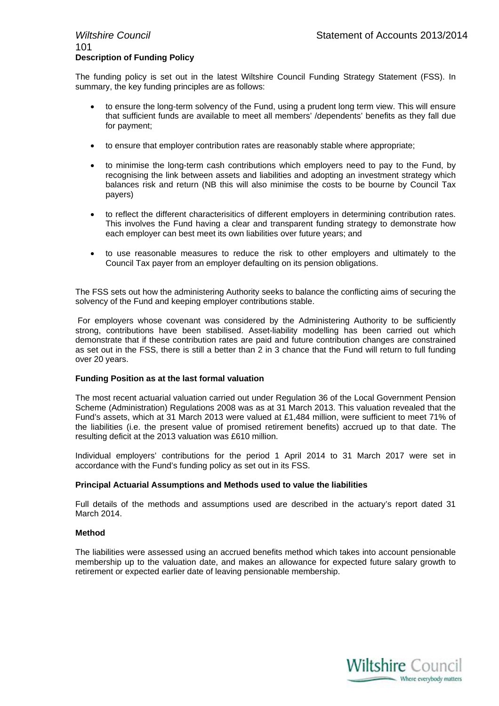### 101 **Description of Funding Policy**

The funding policy is set out in the latest Wiltshire Council Funding Strategy Statement (FSS). In summary, the key funding principles are as follows:

- to ensure the long-term solvency of the Fund, using a prudent long term view. This will ensure that sufficient funds are available to meet all members' /dependents' benefits as they fall due for payment;
- to ensure that employer contribution rates are reasonably stable where appropriate;
- to minimise the long-term cash contributions which employers need to pay to the Fund, by recognising the link between assets and liabilities and adopting an investment strategy which balances risk and return (NB this will also minimise the costs to be bourne by Council Tax payers)
- to reflect the different characterisitics of different employers in determining contribution rates. This involves the Fund having a clear and transparent funding strategy to demonstrate how each employer can best meet its own liabilities over future years; and
- to use reasonable measures to reduce the risk to other employers and ultimately to the Council Tax payer from an employer defaulting on its pension obligations.

The FSS sets out how the administering Authority seeks to balance the conflicting aims of securing the solvency of the Fund and keeping employer contributions stable.

 For employers whose covenant was considered by the Administering Authority to be sufficiently strong, contributions have been stabilised. Asset-liability modelling has been carried out which demonstrate that if these contribution rates are paid and future contribution changes are constrained as set out in the FSS, there is still a better than 2 in 3 chance that the Fund will return to full funding over 20 years.

#### **Funding Position as at the last formal valuation**

The most recent actuarial valuation carried out under Regulation 36 of the Local Government Pension Scheme (Administration) Regulations 2008 was as at 31 March 2013. This valuation revealed that the Fund's assets, which at 31 March 2013 were valued at £1,484 million, were sufficient to meet 71% of the liabilities (i.e. the present value of promised retirement benefits) accrued up to that date. The resulting deficit at the 2013 valuation was £610 million.

Individual employers' contributions for the period 1 April 2014 to 31 March 2017 were set in accordance with the Fund's funding policy as set out in its FSS.

#### **Principal Actuarial Assumptions and Methods used to value the liabilities**

Full details of the methods and assumptions used are described in the actuary's report dated 31 March 2014.

#### **Method**

The liabilities were assessed using an accrued benefits method which takes into account pensionable membership up to the valuation date, and makes an allowance for expected future salary growth to retirement or expected earlier date of leaving pensionable membership.

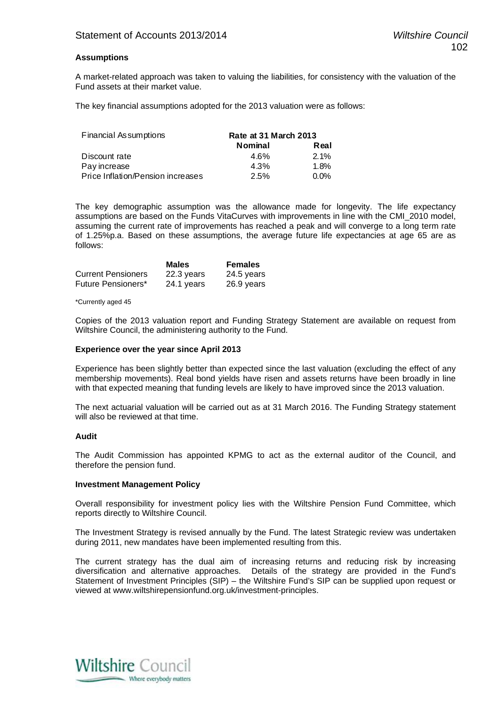#### **Assumptions**

A market-related approach was taken to valuing the liabilities, for consistency with the valuation of the Fund assets at their market value.

The key financial assumptions adopted for the 2013 valuation were as follows:

| Financial Assumptions             | Rate at 31 March 2013 |         |  |
|-----------------------------------|-----------------------|---------|--|
|                                   | <b>Nominal</b>        | Real    |  |
| Discount rate                     | 4.6%                  | $2.1\%$ |  |
| Pay increase                      | 4.3%                  | $1.8\%$ |  |
| Price Inflation/Pension increases | 2.5%                  | $0.0\%$ |  |

The key demographic assumption was the allowance made for longevity. The life expectancy assumptions are based on the Funds VitaCurves with improvements in line with the CMI\_2010 model, assuming the current rate of improvements has reached a peak and will converge to a long term rate of 1.25%p.a. Based on these assumptions, the average future life expectancies at age 65 are as follows:

|                           | <b>Males</b> | <b>Females</b> |
|---------------------------|--------------|----------------|
| <b>Current Pensioners</b> | 22.3 years   | 24.5 years     |
| Future Pensioners*        | 24.1 years   | 26.9 years     |

#### \*Currently aged 45

Copies of the 2013 valuation report and Funding Strategy Statement are available on request from Wiltshire Council, the administering authority to the Fund.

#### **Experience over the year since April 2013**

Experience has been slightly better than expected since the last valuation (excluding the effect of any membership movements). Real bond yields have risen and assets returns have been broadly in line with that expected meaning that funding levels are likely to have improved since the 2013 valuation.

The next actuarial valuation will be carried out as at 31 March 2016. The Funding Strategy statement will also be reviewed at that time.

#### **Audit**

The Audit Commission has appointed KPMG to act as the external auditor of the Council, and therefore the pension fund.

#### **Investment Management Policy**

Overall responsibility for investment policy lies with the Wiltshire Pension Fund Committee, which reports directly to Wiltshire Council.

The Investment Strategy is revised annually by the Fund. The latest Strategic review was undertaken during 2011, new mandates have been implemented resulting from this.

The current strategy has the dual aim of increasing returns and reducing risk by increasing diversification and alternative approaches. Details of the strategy are provided in the Fund's Statement of Investment Principles (SIP) – the Wiltshire Fund's SIP can be supplied upon request or viewed at www.wiltshirepensionfund.org.uk/investment-principles.

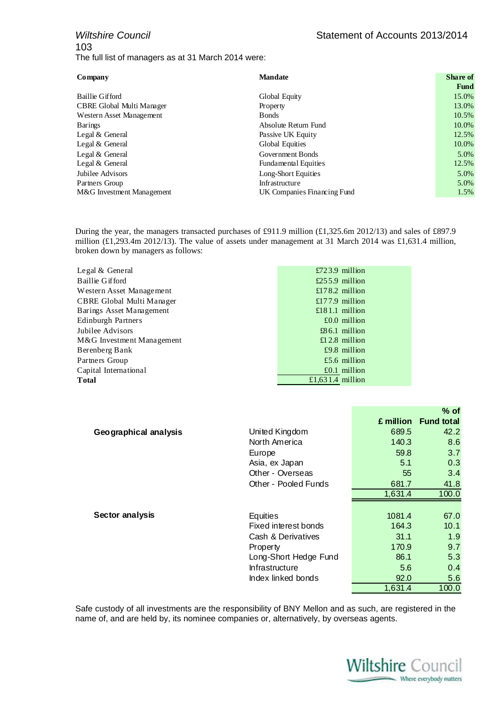### *Wiltshire Council* **Statement of Accounts 2013/2014** 103 The full list of managers as at 31 March 2014 were:

| Company                   | <b>Mandate</b>     | <b>Share</b> of |
|---------------------------|--------------------|-----------------|
|                           |                    | Fund            |
| Baillie Gifford           | Global Equity      | 15.0%           |
| CBRE Global Multi Manager | <b>Property</b>    | 13.0%           |
| $W_{\alpha\beta}$         | $\mathbf{D}$ and a | $10.50$ /       |

| $\epsilon$ DIW $\epsilon$ 0100an iyaana iyaana $\epsilon$ | <b>TIOPOLI</b> |
|-----------------------------------------------------------|----------------|
| Western Asset Management                                  | <b>B</b> onds  |
| Barings                                                   | Absolute R     |
| Legal & General                                           | Passive UI     |
| Legal & General                                           | Global Equ     |
| Legal & General                                           | Governme:      |
| Legal & General                                           | Fundamen       |
| Jubilee Advisors                                          | Long-Shor      |
| Partners Group                                            | Infrastructu   |
| M&G Investment Management                                 | UK Compa       |

**Fund** Western Asset Management Bonds 10.5% Barings **Barings Barings Absolute Return Fund 10.0%** Legal & General **Passive UK Equity Passive UK Equity Passive UK Equity 12.5%** Legal & General and the contract of the Global Equities and the contract of the contract of the contract of the contract of the contract of the contract of the contract of the contract of the contract of the contract of th Legal & General Government Bonds 5.0% Legal & General **Fundamental Equities** 12.5% Jubilee Advisors **Long-Short Equities** 5.0% Partners Group **Infrastructure Infrastructure** 5.0% Manies Financing Fund 1.5%

During the year, the managers transacted purchases of £911.9 million (£1,325.6m 2012/13) and sales of £897.9 million (£1,293.4m 2012/13). The value of assets under management at 31 March 2014 was £1,631.4 million, broken down by managers as follows:

| Legal & General           | $£723.9$ million |
|---------------------------|------------------|
| <b>Baillie Gifford</b>    | £255.9 million   |
| Western Asset Management  | £178.2 million   |
| CBRE Global Multi Manager | £177.9 million   |
| Barings Asset Management  | £181.1 million   |
| Edinburgh Partners        | $£0.0$ million   |
| Jubilee Advisors          | $£86.1$ million  |
| M&G Investment Management | £12.8 million    |
| Berenberg Bank            | $£9.8$ million   |
| Partners Group            | £5.6 million     |
| Capital International     | $£0.1$ million   |
| Total                     | £1,631.4 million |

|                       |                       |           | $%$ of            |
|-----------------------|-----------------------|-----------|-------------------|
|                       |                       | £ million | <b>Fund total</b> |
| Geographical analysis | United Kingdom        | 689.5     | 42.2              |
|                       | North America         | 140.3     | 8.6               |
|                       | Europe                | 59.8      | 3.7               |
|                       | Asia, ex Japan        | 5.1       | 0.3               |
|                       | Other - Overseas      | 55        | 3.4               |
|                       | Other - Pooled Funds  | 681.7     | 41.8              |
|                       |                       | 1,631.4   | 100.0             |
|                       |                       |           |                   |
| Sector analysis       | Equities              | 1081.4    | 67.0              |
|                       | Fixed interest bonds  | 164.3     | 10.1              |
|                       | Cash & Derivatives    | 31.1      | 1.9               |
|                       | Property              | 170.9     | 9.7               |
|                       | Long-Short Hedge Fund | 86.1      | 5.3               |
|                       | Infrastructure        | 5.6       | 0.4               |
|                       | Index linked bonds    | 92.0      | 5.6               |
|                       |                       | 1,631.4   | 100.0             |

Safe custody of all investments are the responsibility of BNY Mellon and as such, are registered in the name of, and are held by, its nominee companies or, alternatively, by overseas agents.

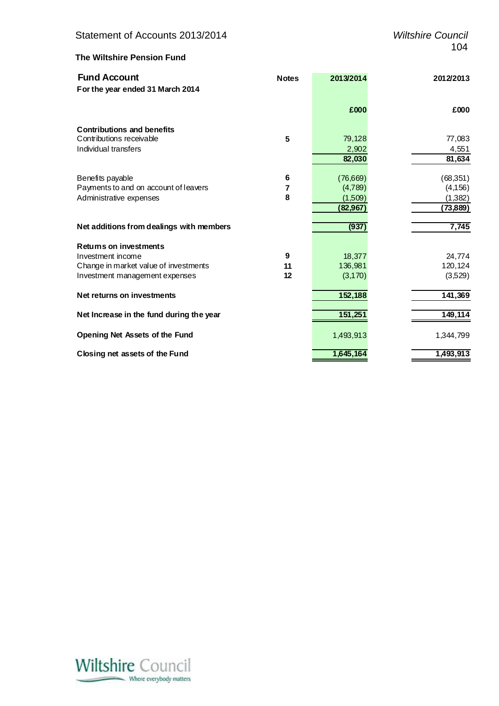### **The Wiltshire Pension Fund**

| <b>Fund Account</b>                      | <b>Notes</b> | 2013/2014 | 2012/2013 |
|------------------------------------------|--------------|-----------|-----------|
| For the year ended 31 March 2014         |              |           |           |
|                                          |              | £000      | £000      |
| <b>Contributions and benefits</b>        |              |           |           |
| Contributions receivable                 | 5            | 79,128    | 77,083    |
| Individual transfers                     |              | 2,902     | 4,551     |
|                                          |              | 82,030    | 81,634    |
| Benefits payable                         | 6            | (76,669)  | (68, 351) |
| Payments to and on account of leavers    | 7            | (4,789)   | (4, 156)  |
| Administrative expenses                  | 8            | (1,509)   | (1,382)   |
|                                          |              | (82,967)  | (73, 889) |
| Net additions from dealings with members |              | (937)     | 7,745     |
| Returns on investments                   |              |           |           |
| Investment income                        | 9            | 18,377    | 24,774    |
| Change in market value of investments    | 11           | 136,981   | 120,124   |
| Investment management expenses           | 12           | (3,170)   | (3,529)   |
| Net returns on investments               |              | 152,188   | 141,369   |
| Net Increase in the fund during the year |              | 151,251   | 149,114   |
| Opening Net Assets of the Fund           |              | 1,493,913 | 1,344,799 |
| Closing net assets of the Fund           |              | 1,645,164 | 1,493,913 |

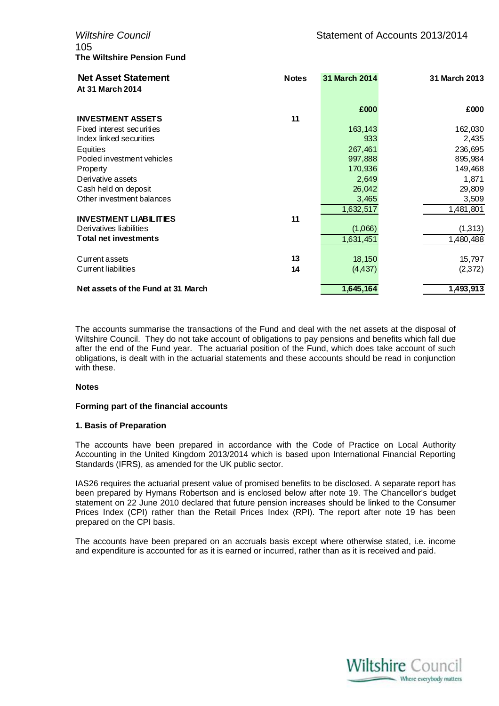105 **The Wiltshire Pension Fund**

| <b>Net Asset Statement</b><br>At 31 March 2014 | <b>Notes</b> | 31 March 2014 | 31 March 2013 |
|------------------------------------------------|--------------|---------------|---------------|
|                                                |              | £000          | £000          |
| <b>INVESTMENT ASSETS</b>                       | 11           |               |               |
| Fixed interest securities                      |              | 163,143       | 162,030       |
| Index linked securities                        |              | 933           | 2,435         |
| <b>Equities</b>                                |              | 267,461       | 236,695       |
| Pooled investment vehicles                     |              | 997,888       | 895,984       |
| Property                                       |              | 170,936       | 149,468       |
| Derivative assets                              |              | 2,649         | 1,871         |
| Cash held on deposit                           |              | 26,042        | 29,809        |
| Other investment balances                      |              | 3,465         | 3,509         |
|                                                |              | 1,632,517     | 1,481,801     |
| <b>INVESTMENT LIABILITIES</b>                  | 11           |               |               |
| Derivatives liabilities                        |              | (1,066)       | (1,313)       |
| <b>Total net investments</b>                   |              | 1,631,451     | 1,480,488     |
| Current assets                                 | 13           | 18,150        | 15,797        |
| Current liabilities                            | 14           | (4, 437)      | (2,372)       |
| Net assets of the Fund at 31 March             |              | 1,645,164     | 1,493,913     |

The accounts summarise the transactions of the Fund and deal with the net assets at the disposal of Wiltshire Council. They do not take account of obligations to pay pensions and benefits which fall due after the end of the Fund year. The actuarial position of the Fund, which does take account of such obligations, is dealt with in the actuarial statements and these accounts should be read in conjunction with these.

#### **Notes**

#### **Forming part of the financial accounts**

#### **1. Basis of Preparation**

The accounts have been prepared in accordance with the Code of Practice on Local Authority Accounting in the United Kingdom 2013/2014 which is based upon International Financial Reporting Standards (IFRS), as amended for the UK public sector.

IAS26 requires the actuarial present value of promised benefits to be disclosed. A separate report has been prepared by Hymans Robertson and is enclosed below after note 19. The Chancellor's budget statement on 22 June 2010 declared that future pension increases should be linked to the Consumer Prices Index (CPI) rather than the Retail Prices Index (RPI). The report after note 19 has been prepared on the CPI basis.

The accounts have been prepared on an accruals basis except where otherwise stated, i.e. income and expenditure is accounted for as it is earned or incurred, rather than as it is received and paid.

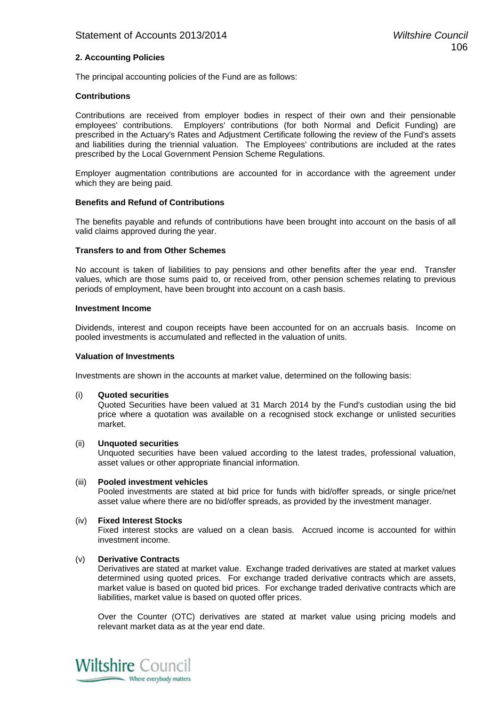#### **2. Accounting Policies**

The principal accounting policies of the Fund are as follows:

#### **Contributions**

Contributions are received from employer bodies in respect of their own and their pensionable employees' contributions. Employers' contributions (for both Normal and Deficit Funding) are prescribed in the Actuary's Rates and Adjustment Certificate following the review of the Fund's assets and liabilities during the triennial valuation. The Employees' contributions are included at the rates prescribed by the Local Government Pension Scheme Regulations.

Employer augmentation contributions are accounted for in accordance with the agreement under which they are being paid.

#### **Benefits and Refund of Contributions**

The benefits payable and refunds of contributions have been brought into account on the basis of all valid claims approved during the year.

#### **Transfers to and from Other Schemes**

No account is taken of liabilities to pay pensions and other benefits after the year end. Transfer values, which are those sums paid to, or received from, other pension schemes relating to previous periods of employment, have been brought into account on a cash basis.

#### **Investment Income**

Dividends, interest and coupon receipts have been accounted for on an accruals basis. Income on pooled investments is accumulated and reflected in the valuation of units.

#### **Valuation of Investments**

Investments are shown in the accounts at market value, determined on the following basis:

(i) **Quoted securities**

Quoted Securities have been valued at 31 March 2014 by the Fund's custodian using the bid price where a quotation was available on a recognised stock exchange or unlisted securities market.

#### (ii) **Unquoted securities**

 Unquoted securities have been valued according to the latest trades, professional valuation, asset values or other appropriate financial information.

#### (iii) **Pooled investment vehicles**

Pooled investments are stated at bid price for funds with bid/offer spreads, or single price/net asset value where there are no bid/offer spreads, as provided by the investment manager.

#### (iv) **Fixed Interest Stocks**

Fixed interest stocks are valued on a clean basis. Accrued income is accounted for within investment income.

#### (v) **Derivative Contracts**

Derivatives are stated at market value. Exchange traded derivatives are stated at market values determined using quoted prices. For exchange traded derivative contracts which are assets, market value is based on quoted bid prices. For exchange traded derivative contracts which are liabilities, market value is based on quoted offer prices.

Over the Counter (OTC) derivatives are stated at market value using pricing models and relevant market data as at the year end date.

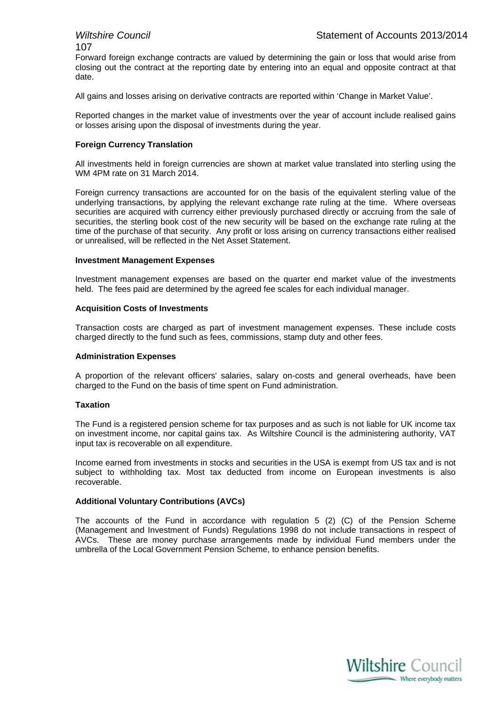# 107

Forward foreign exchange contracts are valued by determining the gain or loss that would arise from closing out the contract at the reporting date by entering into an equal and opposite contract at that date.

All gains and losses arising on derivative contracts are reported within 'Change in Market Value'.

Reported changes in the market value of investments over the year of account include realised gains or losses arising upon the disposal of investments during the year.

#### **Foreign Currency Translation**

All investments held in foreign currencies are shown at market value translated into sterling using the WM 4PM rate on 31 March 2014.

Foreign currency transactions are accounted for on the basis of the equivalent sterling value of the underlying transactions, by applying the relevant exchange rate ruling at the time. Where overseas securities are acquired with currency either previously purchased directly or accruing from the sale of securities, the sterling book cost of the new security will be based on the exchange rate ruling at the time of the purchase of that security. Any profit or loss arising on currency transactions either realised or unrealised, will be reflected in the Net Asset Statement.

#### **Investment Management Expenses**

Investment management expenses are based on the quarter end market value of the investments held. The fees paid are determined by the agreed fee scales for each individual manager.

#### **Acquisition Costs of Investments**

Transaction costs are charged as part of investment management expenses. These include costs charged directly to the fund such as fees, commissions, stamp duty and other fees.

#### **Administration Expenses**

A proportion of the relevant officers' salaries, salary on-costs and general overheads, have been charged to the Fund on the basis of time spent on Fund administration.

#### **Taxation**

The Fund is a registered pension scheme for tax purposes and as such is not liable for UK income tax on investment income, nor capital gains tax. As Wiltshire Council is the administering authority, VAT input tax is recoverable on all expenditure.

Income earned from investments in stocks and securities in the USA is exempt from US tax and is not subject to withholding tax. Most tax deducted from income on European investments is also recoverable.

#### **Additional Voluntary Contributions (AVCs)**

The accounts of the Fund in accordance with regulation 5 (2) (C) of the Pension Scheme (Management and Investment of Funds) Regulations 1998 do not include transactions in respect of AVCs. These are money purchase arrangements made by individual Fund members under the umbrella of the Local Government Pension Scheme, to enhance pension benefits.

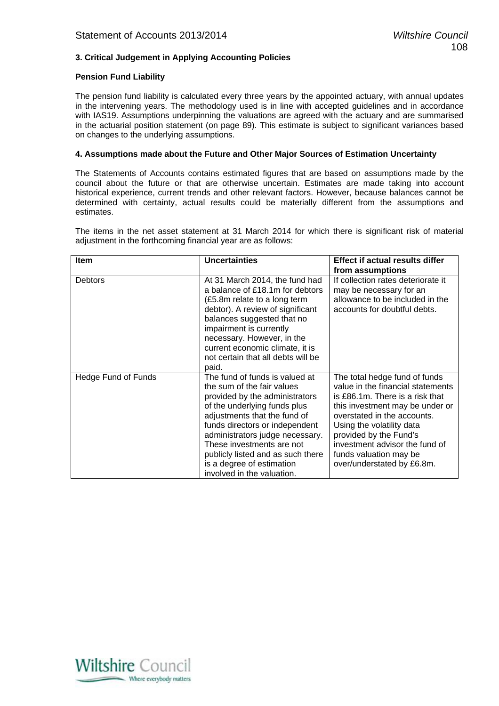#### **3. Critical Judgement in Applying Accounting Policies**

#### **Pension Fund Liability**

The pension fund liability is calculated every three years by the appointed actuary, with annual updates in the intervening years. The methodology used is in line with accepted guidelines and in accordance with IAS19. Assumptions underpinning the valuations are agreed with the actuary and are summarised in the actuarial position statement (on page 89). This estimate is subject to significant variances based on changes to the underlying assumptions.

#### **4. Assumptions made about the Future and Other Major Sources of Estimation Uncertainty**

The Statements of Accounts contains estimated figures that are based on assumptions made by the council about the future or that are otherwise uncertain. Estimates are made taking into account historical experience, current trends and other relevant factors. However, because balances cannot be determined with certainty, actual results could be materially different from the assumptions and estimates.

The items in the net asset statement at 31 March 2014 for which there is significant risk of material adjustment in the forthcoming financial year are as follows:

| Item                | <b>Uncertainties</b>                                                                                                                                                                                                                                                                                                                                             | <b>Effect if actual results differ</b>                                                                                                                                                                                                                                                                                   |
|---------------------|------------------------------------------------------------------------------------------------------------------------------------------------------------------------------------------------------------------------------------------------------------------------------------------------------------------------------------------------------------------|--------------------------------------------------------------------------------------------------------------------------------------------------------------------------------------------------------------------------------------------------------------------------------------------------------------------------|
|                     |                                                                                                                                                                                                                                                                                                                                                                  | from assumptions                                                                                                                                                                                                                                                                                                         |
| <b>Debtors</b>      | At 31 March 2014, the fund had<br>a balance of £18.1m for debtors<br>(£5.8m relate to a long term<br>debtor). A review of significant<br>balances suggested that no<br>impairment is currently<br>necessary. However, in the<br>current economic climate, it is<br>not certain that all debts will be<br>paid.                                                   | If collection rates deteriorate it<br>may be necessary for an<br>allowance to be included in the<br>accounts for doubtful debts.                                                                                                                                                                                         |
| Hedge Fund of Funds | The fund of funds is valued at<br>the sum of the fair values<br>provided by the administrators<br>of the underlying funds plus<br>adjustments that the fund of<br>funds directors or independent<br>administrators judge necessary.<br>These investments are not<br>publicly listed and as such there<br>is a degree of estimation<br>involved in the valuation. | The total hedge fund of funds<br>value in the financial statements<br>is £86.1m. There is a risk that<br>this investment may be under or<br>overstated in the accounts.<br>Using the volatility data<br>provided by the Fund's<br>investment advisor the fund of<br>funds valuation may be<br>over/understated by £6.8m. |

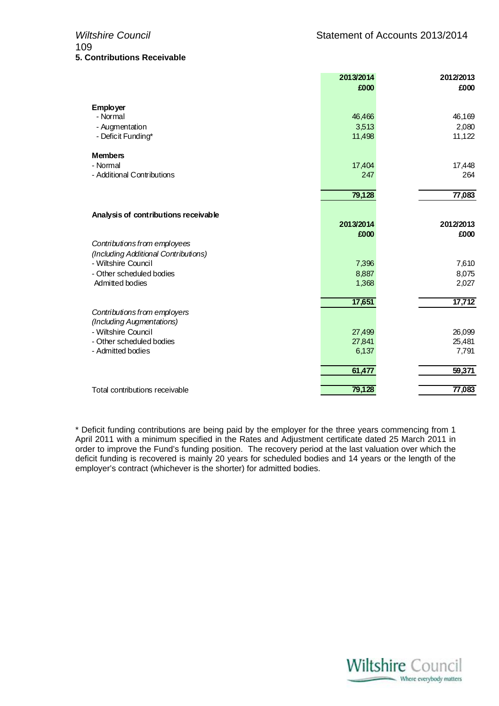|                                             | 2013/2014      | 2012/2013      |
|---------------------------------------------|----------------|----------------|
|                                             | £000           | £000           |
| <b>Employer</b>                             |                |                |
| - Normal                                    | 46,466         | 46,169         |
| - Augmentation                              | 3,513          | 2,080          |
| - Deficit Funding*                          | 11,498         | 11,122         |
| <b>Members</b>                              |                |                |
| - Normal                                    | 17,404         | 17,448         |
| - Additional Contributions                  | 247            | 264            |
|                                             | 79,128         | 77,083         |
|                                             |                |                |
| Analysis of contributions receivable        |                |                |
|                                             | 2013/2014      | 2012/2013      |
|                                             | £000           | £000           |
| Contributions from employees                |                |                |
| (Including Additional Contributions)        |                |                |
| - Wiltshire Council                         | 7,396          | 7,610          |
| - Other scheduled bodies<br>Admitted bodies | 8,887<br>1,368 | 8,075<br>2,027 |
|                                             |                |                |
|                                             | 17,651         | 17,712         |
| Contributions from employers                |                |                |
| (Including Augmentations)                   |                |                |
| - Wiltshire Council                         | 27,499         | 26,099         |
| - Other scheduled bodies                    | 27,841         | 25,481         |
| - Admitted bodies                           | 6,137          | 7,791          |
|                                             | 61,477         | 59,371         |
| Total contributions receivable              | 79,128         | 77,083         |
|                                             |                |                |

\* Deficit funding contributions are being paid by the employer for the three years commencing from 1 April 2011 with a minimum specified in the Rates and Adjustment certificate dated 25 March 2011 in order to improve the Fund's funding position. The recovery period at the last valuation over which the deficit funding is recovered is mainly 20 years for scheduled bodies and 14 years or the length of the employer's contract (whichever is the shorter) for admitted bodies.

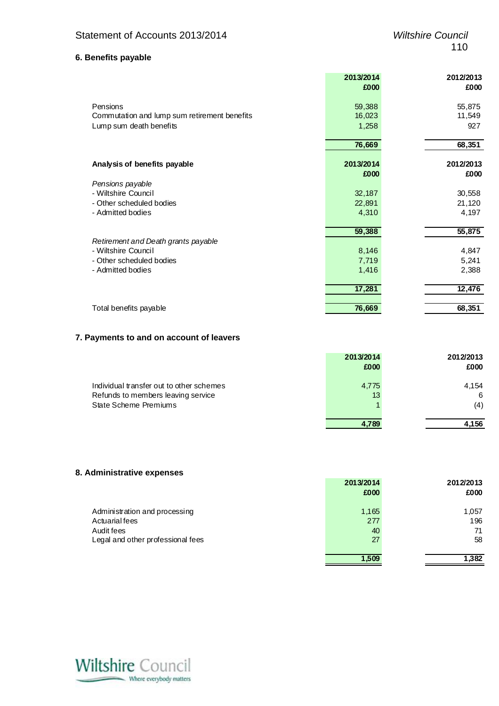**2013/2014 2012/2013**

#### **6. Benefits payable**

|                                              | 2013/2014 | 2012/2013 |
|----------------------------------------------|-----------|-----------|
|                                              | £000      | £000      |
|                                              |           |           |
| Pensions                                     | 59,388    | 55,875    |
| Commutation and lump sum retirement benefits | 16,023    | 11,549    |
| Lump sum death benefits                      | 1,258     | 927       |
|                                              |           |           |
|                                              | 76,669    | 68,351    |
| Analysis of benefits payable                 | 2013/2014 | 2012/2013 |
|                                              | £000      | £000      |
| Pensions payable                             |           |           |
| - Wiltshire Council                          | 32,187    | 30,558    |
| - Other scheduled bodies                     | 22,891    | 21,120    |
| - Admitted bodies                            | 4,310     | 4,197     |
|                                              | 59,388    |           |
| Retirement and Death grants payable          |           | 55,875    |
| - Wiltshire Council                          | 8,146     | 4,847     |
| - Other scheduled bodies                     |           |           |
| - Admitted bodies                            | 7,719     | 5,241     |
|                                              | 1,416     | 2,388     |
|                                              | 17,281    | 12,476    |
| Total benefits payable                       | 76,669    | 68,351    |

#### **7. Payments to and on account of leavers**

|                                          | 2013/2014 | 2012/2013 |
|------------------------------------------|-----------|-----------|
|                                          | £000      | £000      |
| Individual transfer out to other schemes | 4,775     | 4,154     |
| Refunds to members leaving service       | 13        | 6         |
| State Scheme Premiums                    |           | (4)       |
|                                          | 4.789     | 4.156     |

#### **8. Administrative expenses**

|                                                                                                    | £000                     | £000                     |
|----------------------------------------------------------------------------------------------------|--------------------------|--------------------------|
| Administration and processing<br>Actuarial fees<br>Audit fees<br>Legal and other professional fees | 1,165<br>277<br>40<br>27 | 1,057<br>196<br>71<br>58 |
|                                                                                                    | 1.509                    | 1,382                    |

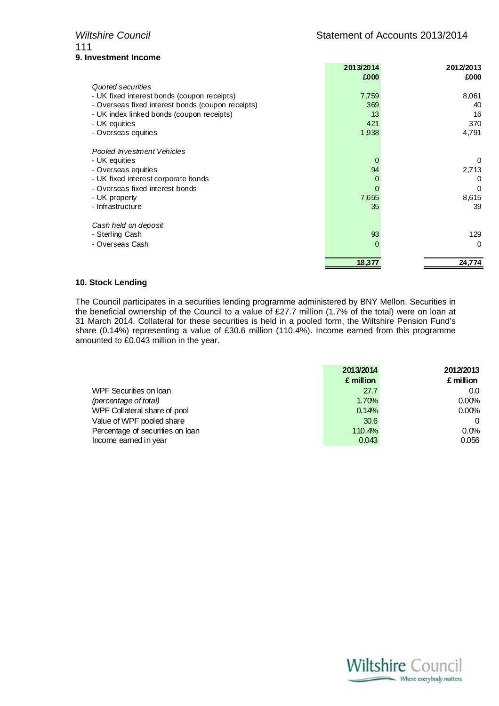## 111 **9. Investment Income**

|                                                   | 2013/2014 | 2012/2013 |
|---------------------------------------------------|-----------|-----------|
|                                                   | £000      | £000      |
| Quoted securities                                 |           |           |
| - UK fixed interest bonds (coupon receipts)       | 7,759     | 8,061     |
| - Overseas fixed interest bonds (coupon receipts) | 369       | 40        |
| - UK index linked bonds (coupon receipts)         | 13        | 16        |
| - UK equities                                     | 421       | 370       |
| - Overseas equities                               | 1,938     | 4,791     |
| Pooled Investment Vehicles                        |           |           |
| - UK equities                                     | $\Omega$  | $\Omega$  |
| - Overseas equities                               | 94        | 2,713     |
| - UK fixed interest corporate bonds               | $\left($  | 0         |
| - Overseas fixed interest bonds                   | 0         | 0         |
| - UK property                                     | 7,655     | 8,615     |
| - Infrastructure                                  | 35        | 39        |
| Cash held on deposit                              |           |           |
| - Sterling Cash                                   | 93        | 129       |
| - Overseas Cash                                   | $\Omega$  | $\Omega$  |
|                                                   | 18,377    | 24,774    |

#### **10. Stock Lending**

The Council participates in a securities lending programme administered by BNY Mellon. Securities in the beneficial ownership of the Council to a value of £27.7 million (1.7% of the total) were on loan at 31 March 2014. Collateral for these securities is held in a pooled form, the Wiltshire Pension Fund's share (0.14%) representing a value of £30.6 million (110.4%). Income earned from this programme amounted to £0.043 million in the year.

|                                  | 2013/2014 | 2012/2013 |
|----------------------------------|-----------|-----------|
|                                  | £ million | £ million |
| WPF Securities on loan           | 27.7      | 0.0       |
| (percentage of total)            | 1.70%     | 0.00%     |
| WPF Collateral share of pool     | 0.14%     | 0.00%     |
| Value of WPF pooled share        | 30.6      |           |
| Percentage of securities on loan | 110.4%    | 0.0%      |
| Income earned in year            | 0.043     | 0.056     |

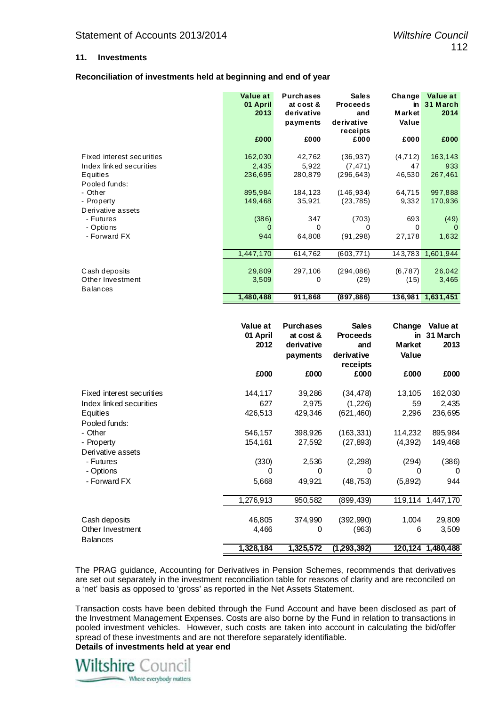#### **11. Investments**

#### **Reconciliation of investments held at beginning and end of year**

|                           | Value at<br>01 April<br>2013<br>£000 | <b>Purchases</b><br>at cost &<br>derivative<br>payments<br>£000 | <b>Sales</b><br><b>Proceeds</b><br>and<br>derivative<br>receipts<br>£000 | Change<br>in<br><b>Market</b><br>Value<br>£000 | Value at<br>31 March<br>2014<br>£000 |
|---------------------------|--------------------------------------|-----------------------------------------------------------------|--------------------------------------------------------------------------|------------------------------------------------|--------------------------------------|
|                           |                                      |                                                                 |                                                                          |                                                |                                      |
| Fixed interest securities | 162,030                              | 42,762                                                          | (36, 937)                                                                | (4, 712)                                       | 163,143                              |
| Index linked securities   | 2,435                                | 5,922                                                           | (7, 471)                                                                 | 47                                             | 933                                  |
| Equities                  | 236,695                              | 280,879                                                         | (296, 643)                                                               | 46,530                                         | 267,461                              |
| Pooled funds:             |                                      |                                                                 |                                                                          |                                                |                                      |
| - Other                   | 895,984                              | 184,123                                                         | (146, 934)                                                               | 64,715                                         | 997,888                              |
| - Property                | 149,468                              | 35,921                                                          | (23, 785)                                                                | 9,332                                          | 170,936                              |
| Derivative assets         |                                      |                                                                 |                                                                          |                                                |                                      |
| - Futures                 | (386)                                | 347                                                             | (703)                                                                    | 693                                            | (49)                                 |
| - Options                 | 0                                    | $\Omega$                                                        | 0                                                                        | 0                                              | $\Omega$                             |
| - Forward FX              | 944                                  | 64,808                                                          | (91,298)                                                                 | 27,178                                         | 1,632                                |
|                           |                                      |                                                                 |                                                                          |                                                |                                      |
|                           | 1,447,170                            | 614,762                                                         | (603, 771)                                                               | 143,783                                        | 1,601,944                            |
|                           |                                      |                                                                 |                                                                          |                                                |                                      |
| Cash deposits             | 29,809                               | 297,106                                                         | (294,086)                                                                | (6, 787)                                       | 26,042                               |
| Other Investment          | 3,509                                | 0                                                               | (29)                                                                     | (15)                                           | 3,465                                |
| <b>Balances</b>           |                                      |                                                                 |                                                                          |                                                |                                      |
|                           | 1,480,488                            | 911,868                                                         | (897, 886)                                                               |                                                | 136,981 1,631,451                    |

|                           | Value at<br>01 April<br>2012 | <b>Purchases</b><br>at cost &<br>derivative | <b>Sales</b><br><b>Proceeds</b><br>and | Change<br>in<br><b>Market</b> | Value at<br>31 March<br>2013 |
|---------------------------|------------------------------|---------------------------------------------|----------------------------------------|-------------------------------|------------------------------|
|                           |                              | payments                                    | derivative<br>receipts                 | Value                         |                              |
|                           | £000                         | £000                                        | £000                                   | £000                          | £000                         |
| Fixed interest securities | 144,117                      | 39,286                                      | (34, 478)                              | 13,105                        | 162,030                      |
| Index linked securities   | 627                          | 2,975                                       | (1,226)                                | 59                            | 2,435                        |
| Equities                  | 426,513                      | 429,346                                     | (621, 460)                             | 2,296                         | 236,695                      |
| Pooled funds:             |                              |                                             |                                        |                               |                              |
| - Other                   | 546,157                      | 398,926                                     | (163, 331)                             | 114,232                       | 895,984                      |
| - Property                | 154,161                      | 27,592                                      | (27, 893)                              | (4,392)                       | 149,468                      |
| Derivative assets         |                              |                                             |                                        |                               |                              |
| - Futures                 | (330)                        | 2,536                                       | (2, 298)                               | (294)                         | (386)                        |
| - Options                 | 0                            | $\Omega$                                    | $\Omega$                               | $\Omega$                      | 0                            |
| - Forward FX              | 5,668                        | 49,921                                      | (48, 753)                              | (5,892)                       | 944                          |
|                           | 1,276,913                    | 950,582                                     | (899,439)                              | 119,114                       | 1,447,170                    |
| Cash deposits             | 46,805                       | 374,990                                     | (392, 990)                             | 1,004                         | 29,809                       |
| Other Investment          | 4,466                        | 0                                           | (963)                                  | 6                             | 3,509                        |
| <b>Balances</b>           |                              |                                             |                                        |                               |                              |
|                           | 1,328,184                    | 1,325,572                                   | (1, 293, 392)                          |                               | 120,124 1,480,488            |

The PRAG guidance, Accounting for Derivatives in Pension Schemes, recommends that derivatives are set out separately in the investment reconciliation table for reasons of clarity and are reconciled on a 'net' basis as opposed to 'gross' as reported in the Net Assets Statement.

Transaction costs have been debited through the Fund Account and have been disclosed as part of the Investment Management Expenses. Costs are also borne by the Fund in relation to transactions in pooled investment vehicles. However, such costs are taken into account in calculating the bid/offer spread of these investments and are not therefore separately identifiable.

**Details of investments held at year end** 

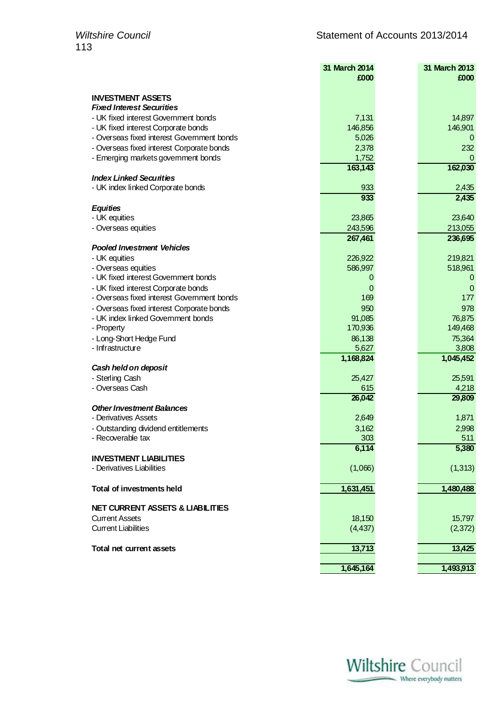|                                                                                 | 31 March 2014     | 31 March 2013     |
|---------------------------------------------------------------------------------|-------------------|-------------------|
|                                                                                 | £000              | £000              |
| <b>INVESTMENT ASSETS</b>                                                        |                   |                   |
| <b>Fixed Interest Securities</b>                                                |                   |                   |
| - UK fixed interest Government bonds                                            | 7,131             | 14,897            |
| - UK fixed interest Corporate bonds                                             | 146,856           | 146,901           |
| - Overseas fixed interest Government bonds                                      | 5,026             | 0                 |
| - Overseas fixed interest Corporate bonds                                       | 2,378             | 232               |
| - Emerging markets government bonds                                             | 1,752             | $\Omega$          |
|                                                                                 | 163,143           | 162,030           |
| <b>Index Linked Securities</b>                                                  |                   |                   |
| - UK index linked Corporate bonds                                               | 933               | 2,435             |
|                                                                                 | 933               | 2,435             |
| <b>Equities</b>                                                                 |                   |                   |
| - UK equities                                                                   | 23,865            | 23,640            |
| - Overseas equities                                                             | 243,596           | 213,055           |
|                                                                                 | 267,461           | 236,695           |
| <b>Pooled Investment Vehicles</b>                                               |                   |                   |
| - UK equities                                                                   | 226,922           | 219,821           |
| - Overseas equities                                                             | 586,997           | 518,961           |
| - UK fixed interest Government bonds                                            | 0                 | 0                 |
| - UK fixed interest Corporate bonds                                             | 0                 | 0                 |
| - Overseas fixed interest Government bonds                                      | 169               | 177               |
| - Overseas fixed interest Corporate bonds<br>- UK index linked Government bonds | 950               | 978               |
|                                                                                 | 91,085<br>170,936 | 76,875<br>149,468 |
| - Property                                                                      | 86,138            | 75,364            |
| - Long-Short Hedge Fund<br>- Infrastructure                                     | 5,627             | 3,808             |
|                                                                                 | 1,168,824         | 1,045,452         |
| Cash held on deposit                                                            |                   |                   |
| - Sterling Cash                                                                 | 25,427            | 25,591            |
| - Overseas Cash                                                                 | 615               | 4,218             |
|                                                                                 | 26,042            | 29,809            |
| <b>Other Investment Balances</b>                                                |                   |                   |
| - Derivatives Assets                                                            | 2,649             | 1,871             |
| - Outstanding dividend entitlements                                             | 3,162             | 2,998             |
| - Recoverable tax                                                               | 303               | 511               |
|                                                                                 | 6,114             | 5,380             |
| <b>INVESTMENT LIABILITIES</b>                                                   |                   |                   |
| - Derivatives Liabilities                                                       | (1,066)           | (1, 313)          |
|                                                                                 |                   |                   |
| Total of investments held                                                       | 1,631,451         | 1,480,488         |
|                                                                                 |                   |                   |
| <b>NET CURRENT ASSETS &amp; LIABILITIES</b>                                     |                   |                   |
| <b>Current Assets</b>                                                           | 18,150            | 15,797            |
| <b>Current Liabilities</b>                                                      | (4, 437)          | (2,372)           |
| Total net current assets                                                        | 13,713            | 13,425            |
|                                                                                 |                   |                   |
|                                                                                 | 1,645,164         | 1,493,913         |
|                                                                                 |                   |                   |

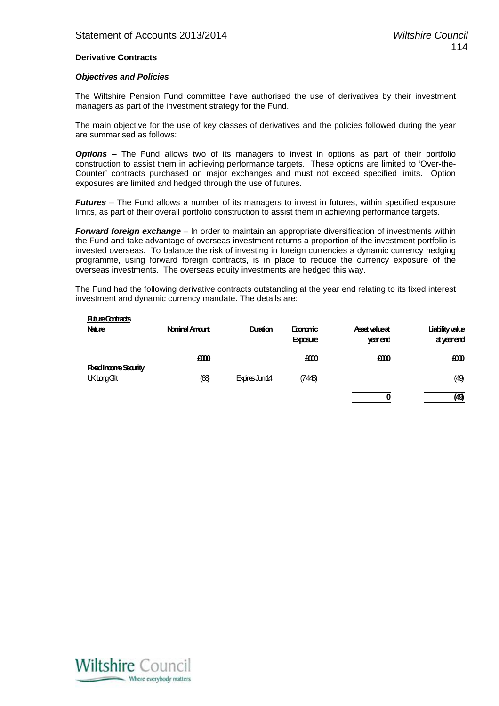#### **Derivative Contracts**

#### *Objectives and Policies*

The Wiltshire Pension Fund committee have authorised the use of derivatives by their investment managers as part of the investment strategy for the Fund.

The main objective for the use of key classes of derivatives and the policies followed during the year are summarised as follows:

**Options** – The Fund allows two of its managers to invest in options as part of their portfolio construction to assist them in achieving performance targets. These options are limited to 'Over-the-Counter' contracts purchased on major exchanges and must not exceed specified limits. Option exposures are limited and hedged through the use of futures.

*Futures* – The Fund allows a number of its managers to invest in futures, within specified exposure limits, as part of their overall portfolio construction to assist them in achieving performance targets.

*Forward foreign exchange* – In order to maintain an appropriate diversification of investments within the Fund and take advantage of overseas investment returns a proportion of the investment portfolio is invested overseas. To balance the risk of investing in foreign currencies a dynamic currency hedging programme, using forward foreign contracts, is in place to reduce the currency exposure of the overseas investments. The overseas equity investments are hedged this way.

The Fund had the following derivative contracts outstanding at the year end relating to its fixed interest investment and dynamic currency mandate. The details are:

| <b>FutureContracts</b><br><b>Nature</b>          | Nominal Amart | Duration       | <b>Economic</b><br><b>Exposure</b> | Asset value at<br>yearend | Liability value<br>atycerend |
|--------------------------------------------------|---------------|----------------|------------------------------------|---------------------------|------------------------------|
|                                                  | £000          |                | E000                               | E000                      | £000                         |
| <b>Fixed Incorre Searity</b><br><b>UKLargGlt</b> | (68)          | Expires Jun 14 | (7,448)                            |                           | (49)                         |
|                                                  |               |                |                                    | 0                         | (49)                         |

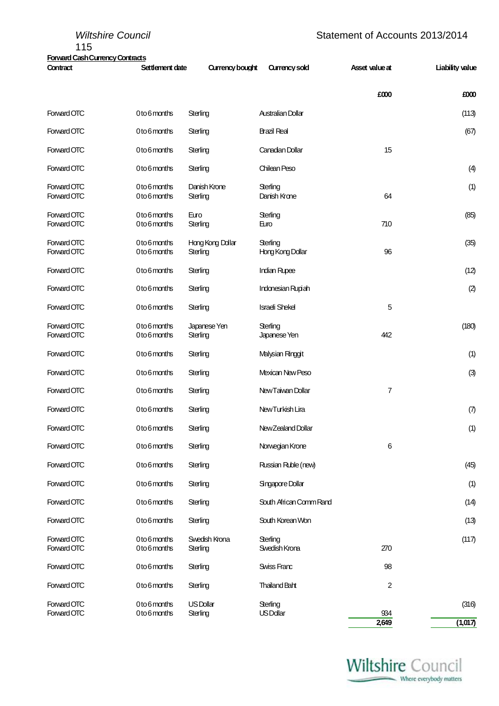| 115                                                | <b>Wiltshire Council</b>            |                          |                          | Statement of Accounts 2013/2014 |                        |
|----------------------------------------------------|-------------------------------------|--------------------------|--------------------------|---------------------------------|------------------------|
| <b>Forward Cash Currency Contracts</b><br>Contract | Settlement date                     | Currency bought          | Currency sold            | Asset value at                  | <b>Liability value</b> |
|                                                    |                                     |                          |                          | £000                            | £000                   |
| Forward OTC                                        | 0 to 6 months                       | Sterling                 | Australian Dollar        |                                 | (113)                  |
| Forward OTC                                        | 0to 6 months                        | Sterling                 | Brazil Real              |                                 | (67)                   |
| Forward OTC                                        | 0 to 6 months                       | Sterling                 | Canadan Dollar           | 15                              |                        |
| Forward OTC                                        | 0 to 6 months                       | Sterling                 | Chilean Peso             |                                 | (4)                    |
| Forward OTC<br>Forward OTC                         | 0 to 6 months<br>0to 6 months       | Danish Krone<br>Sterling | Sterling<br>Danish Krone | 64                              | (1)                    |
| Forward OTC<br>$E_{\text{OMOM}}$ $\cap$ T $\cap$   | 0 to 6 months<br>$0to$ computed not | Euro<br><b>Ctarlina</b>  | Sterling<br><b>E</b> im  | 740                             | (85)                   |

Forward OTC 0 to 6 months Sterling Euro 710 Forward OTC 0 to 6 months Hong Kong Dollar Sterling Contact Contact Contact CONG (35) Forward OTC 0 to 6 months Sterling Hong Kong Dollar 96 Forward OTC 0 to 6 months Sterling Indian Rupee (12) Forward OTC 0 to 6 months Sterling Indonesian Rupiah (2) and 0 to 6 months Sterling Indonesian Rupiah (2) Forward OTC 0 to 6 months Sterling Israeli Shekel 5 Forward OTC 0 to 6 months Japanese Yen Sterling (180) Forward OTC 0 to 6 months Sterling Japanese Yen 442 Forward OTC 0 to 6 months Sterling Malysian Ringgit (1) 0 to 6 months Sterling Malysian Ringgit (1) Forward OTC 0 to 6 months Sterling Mexican New Peso (3) Forward OTC 0 to 6 months Sterling New Taiwan Dollar 7 7 Forward OTC 0 to 6 months Sterling New Turkish Lira (7) Forward OTC 0 to 6 months Sterling New Zealand Dollar (1) Forward OTC 0 to 6 months Sterling Norwegian Krone 6 6 Forward OTC 0 to 6 months Sterling Russian Ruble (new) 3 and 245 Forward OTC 0 to 6 months Sterling Singapore Dollar (1) (1) Forward OTC 0 to 6 months Sterling South African Comm Rand (14) Forward OTC 0 to 6 months Sterling South Korean Won 3 and 5 months (13) Forward OTC 0 to 6 months Swedish Krona Sterling (117) Forward OTC 0 to 6 months Sterling Swedish Krona 270 Forward OTC 0 to 6 months Sterling Swiss Franc 98 Forward OTC 0 to 6 months Sterling Thailand Baht 2 Forward OTC 0 to 6 months US Dollar Sterling (316) Forward OTC 0 to 6 months Sterling US Dollar 934 **2,649 (1,017)**

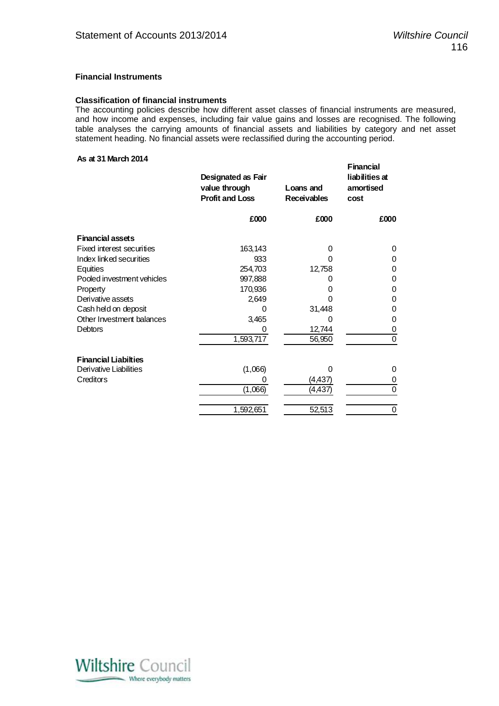#### **Financial Instruments**

#### **Classification of financial instruments**

The accounting policies describe how different asset classes of financial instruments are measured, and how income and expenses, including fair value gains and losses are recognised. The following table analyses the carrying amounts of financial assets and liabilities by category and net asset statement heading. No financial assets were reclassified during the accounting period.

#### **As at 31 March 2014**

|                             | Designated as Fair<br>value through<br><b>Profit and Loss</b> | Loans and<br><b>Receivables</b> | <b>Financial</b><br>liabilities at<br>amortised<br>cost |
|-----------------------------|---------------------------------------------------------------|---------------------------------|---------------------------------------------------------|
|                             | £000                                                          | £000                            | £000                                                    |
| <b>Financial assets</b>     |                                                               |                                 |                                                         |
| Fixed interest securities   | 163,143                                                       | 0                               | 0                                                       |
| Index linked securities     | 933                                                           | 0                               | 0                                                       |
| Equities                    | 254,703                                                       | 12,758                          | 0                                                       |
| Pooled investment vehicles  | 997,888                                                       | O                               | 0                                                       |
| Property                    | 170,936                                                       | 0                               | 0                                                       |
| Derivative assets           | 2,649                                                         | 0                               | 0                                                       |
| Cash held on deposit        | 0                                                             | 31,448                          | 0                                                       |
| Other Investment balances   | 3,465                                                         | 0                               | 0                                                       |
| <b>Debtors</b>              |                                                               | 12,744                          | 0                                                       |
|                             | 1,593,717                                                     | 56,950                          | $\overline{0}$                                          |
| <b>Financial Liabilties</b> |                                                               |                                 |                                                         |
| Derivative Liabilities      | (1,066)                                                       | 0                               | 0                                                       |
| Creditors                   | O)                                                            | (4,437)                         | 0                                                       |
|                             | (1,066)                                                       | (4, 437)                        | 0                                                       |
|                             | 1,592,651                                                     | 52,513                          | 0                                                       |

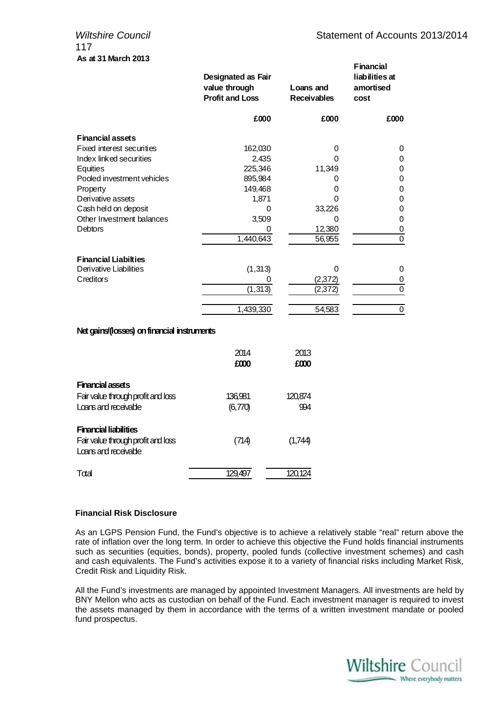### 117 **As at 31 March 2013**

|                             | Designated as Fair<br>value through<br><b>Profit and Loss</b> | Loans and<br><b>Receivables</b> | <b>Financial</b><br>liabilities at<br>amortised<br>cost |
|-----------------------------|---------------------------------------------------------------|---------------------------------|---------------------------------------------------------|
|                             | £000                                                          | £000                            | £000                                                    |
| <b>Financial assets</b>     |                                                               |                                 |                                                         |
| Fixed interest securities   | 162,030                                                       | 0                               | 0                                                       |
| Index linked securities     | 2,435                                                         | 0                               | 0                                                       |
| Equities                    | 225,346                                                       | 11,349                          | 0                                                       |
| Pooled investment vehicles  | 895,984                                                       |                                 | 0                                                       |
| Property                    | 149,468                                                       | 0                               | 0                                                       |
| Derivative assets           | 1,871                                                         | 0                               | 0                                                       |
| Cash held on deposit        | Ω                                                             | 33,226                          | 0                                                       |
| Other Investment balances   | 3,509                                                         | ი                               | 0                                                       |
| Debtors                     |                                                               | 12,380                          | 0                                                       |
|                             | 1,440,643                                                     | 56,955                          | 0                                                       |
| <b>Financial Liabilties</b> |                                                               |                                 |                                                         |
| Derivative Liabilities      | (1, 313)                                                      | 0                               | 0                                                       |
| Creditors                   | $\Omega$                                                      | (2,372)                         | 0                                                       |
|                             | (1, 313)                                                      | (2,372)                         | 0                                                       |
|                             | 1,439,330                                                     | 54,583                          | $\mathbf 0$                                             |

#### **Net gains/(losses) on financial instruments**

|                                                            | 2014<br>£000 | 2013<br>£000 |
|------------------------------------------------------------|--------------|--------------|
| <b>Financial assets</b>                                    |              |              |
| Fair value through profit and loss                         | 136,981      | 120,874      |
| Loans and receivable                                       | (6,770)      | 994          |
| <b>Financial liabilities</b>                               |              |              |
| Fair value through profit and loss<br>Loans and receivable | (714)        | (1,744)      |
| Total                                                      |              | 120.124      |

#### **Financial Risk Disclosure**

As an LGPS Pension Fund, the Fund's objective is to achieve a relatively stable "real" return above the rate of inflation over the long term. In order to achieve this objective the Fund holds financial instruments such as securities (equities, bonds), property, pooled funds (collective investment schemes) and cash and cash equivalents. The Fund's activities expose it to a variety of financial risks including Market Risk, Credit Risk and Liquidity Risk.

All the Fund's investments are managed by appointed Investment Managers. All investments are held by BNY Mellon who acts as custodian on behalf of the Fund. Each investment manager is required to invest the assets managed by them in accordance with the terms of a written investment mandate or pooled fund prospectus.

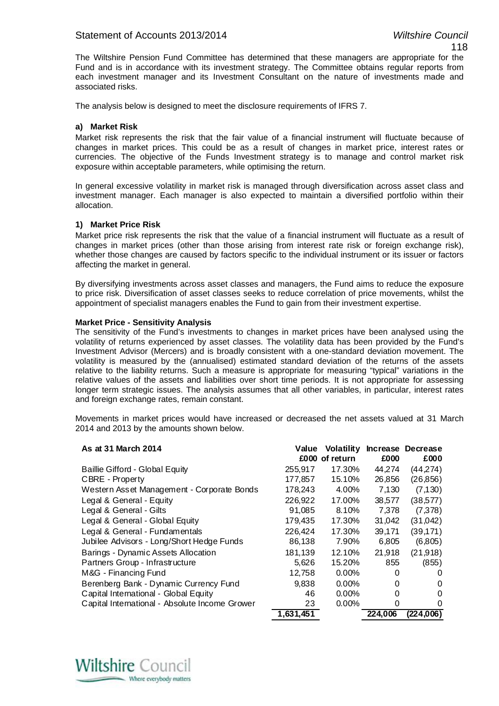#### Statement of Accounts 2013/2014 *Wiltshire Council*

The Wiltshire Pension Fund Committee has determined that these managers are appropriate for the Fund and is in accordance with its investment strategy. The Committee obtains regular reports from each investment manager and its Investment Consultant on the nature of investments made and associated risks.

The analysis below is designed to meet the disclosure requirements of IFRS 7.

#### **a) Market Risk**

Market risk represents the risk that the fair value of a financial instrument will fluctuate because of changes in market prices. This could be as a result of changes in market price, interest rates or currencies. The objective of the Funds Investment strategy is to manage and control market risk exposure within acceptable parameters, while optimising the return.

In general excessive volatility in market risk is managed through diversification across asset class and investment manager. Each manager is also expected to maintain a diversified portfolio within their allocation.

#### **1) Market Price Risk**

Market price risk represents the risk that the value of a financial instrument will fluctuate as a result of changes in market prices (other than those arising from interest rate risk or foreign exchange risk), whether those changes are caused by factors specific to the individual instrument or its issuer or factors affecting the market in general.

By diversifying investments across asset classes and managers, the Fund aims to reduce the exposure to price risk. Diversification of asset classes seeks to reduce correlation of price movements, whilst the appointment of specialist managers enables the Fund to gain from their investment expertise.

#### **Market Price - Sensitivity Analysis**

The sensitivity of the Fund's investments to changes in market prices have been analysed using the volatility of returns experienced by asset classes. The volatility data has been provided by the Fund's Investment Advisor (Mercers) and is broadly consistent with a one-standard deviation movement. The volatility is measured by the (annualised) estimated standard deviation of the returns of the assets relative to the liability returns. Such a measure is appropriate for measuring "typical" variations in the relative values of the assets and liabilities over short time periods. It is not appropriate for assessing longer term strategic issues. The analysis assumes that all other variables, in particular, interest rates and foreign exchange rates, remain constant.

Movements in market prices would have increased or decreased the net assets valued at 31 March 2014 and 2013 by the amounts shown below.

| As at 31 March 2014                            | Value     | <b>Volatility</b><br>£000 of return | £000    | Increase Decrease<br>£000 |
|------------------------------------------------|-----------|-------------------------------------|---------|---------------------------|
| Baillie Gifford - Global Equity                | 255,917   | 17.30%                              | 44.274  | (44,274)                  |
| CBRE - Property                                | 177,857   | 15.10%                              | 26,856  | (26, 856)                 |
| Western Asset Management - Corporate Bonds     | 178,243   | 4.00%                               | 7,130   | (7, 130)                  |
| Legal & General - Equity                       | 226,922   | 17.00%                              | 38.577  | (38, 577)                 |
| Legal & General - Gilts                        | 91,085    | 8.10%                               | 7,378   | (7,378)                   |
| Legal & General - Global Equity                | 179,435   | 17.30%                              | 31,042  | (31, 042)                 |
| Legal & General - Fundamentals                 | 226,424   | 17.30%                              | 39,171  | (39, 171)                 |
| Jubilee Advisors - Long/Short Hedge Funds      | 86,138    | 7.90%                               | 6,805   | (6,805)                   |
| Barings - Dynamic Assets Allocation            | 181,139   | 12.10%                              | 21,918  | (21, 918)                 |
| Partners Group - Infrastructure                | 5,626     | 15.20%                              | 855     | (855)                     |
| M&G - Financing Fund                           | 12,758    | 0.00%                               | 0       |                           |
| Berenberg Bank - Dynamic Currency Fund         | 9,838     | 0.00%                               | 0       | $\Omega$                  |
| Capital International - Global Equity          | 46        | 0.00%                               | 0       | 0                         |
| Capital International - Absolute Income Grower | 23        | 0.00%                               | 0       | O                         |
|                                                | 1,631,451 |                                     | 224.006 | (224,006)                 |

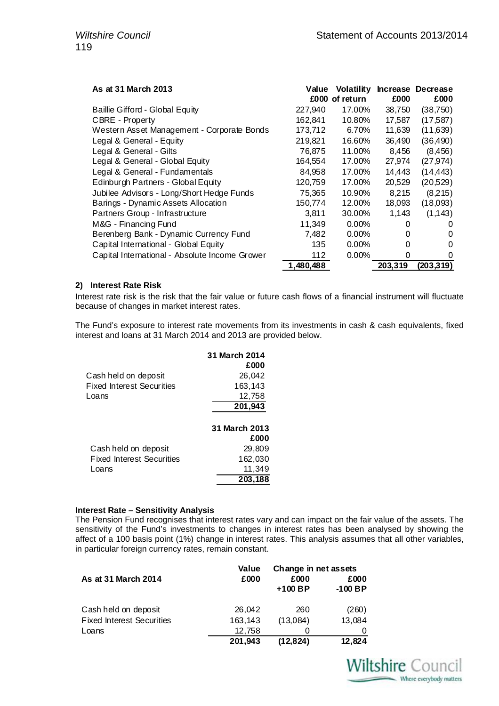| As at 31 March 2013                            | Value     | <b>Volatility</b><br>£000 of return | <b>Increase</b><br>£000 | Decrease<br>£000 |
|------------------------------------------------|-----------|-------------------------------------|-------------------------|------------------|
| Baillie Gifford - Global Equity                | 227,940   | 17.00%                              | 38,750                  | (38, 750)        |
| <b>CBRE</b> - Property                         | 162,841   | 10.80%                              | 17,587                  | (17, 587)        |
| Western Asset Management - Corporate Bonds     | 173,712   | 6.70%                               | 11,639                  | (11,639)         |
| Legal & General - Equity                       | 219.821   | 16.60%                              | 36,490                  | (36, 490)        |
| Legal & General - Gilts                        | 76,875    | 11.00%                              | 8,456                   | (8,456)          |
| Legal & General - Global Equity                | 164,554   | 17.00%                              | 27,974                  | (27, 974)        |
| Legal & General - Fundamentals                 | 84,958    | 17.00%                              | 14,443                  | (14, 443)        |
| Edinburgh Partners - Global Equity             | 120,759   | 17.00%                              | 20,529                  | (20,529)         |
| Jubilee Advisors - Long/Short Hedge Funds      | 75.365    | 10.90%                              | 8,215                   | (8,215)          |
| Barings - Dynamic Assets Allocation            | 150,774   | 12.00%                              | 18,093                  | (18,093)         |
| Partners Group - Infrastructure                | 3,811     | 30.00%                              | 1,143                   | (1, 143)         |
| M&G - Financing Fund                           | 11,349    | $0.00\%$                            | $\Omega$                | $\Omega$         |
| Berenberg Bank - Dynamic Currency Fund         | 7,482     | $0.00\%$                            | $\Omega$                | $\Omega$         |
| Capital International - Global Equity          | 135       | $0.00\%$                            | 0                       | 0                |
| Capital International - Absolute Income Grower | 112       | $0.00\%$                            | 0                       | $\Omega$         |
|                                                | 1,480,488 |                                     | 203,319                 | (203,319)        |

#### **2) Interest Rate Risk**

Interest rate risk is the risk that the fair value or future cash flows of a financial instrument will fluctuate because of changes in market interest rates.

The Fund's exposure to interest rate movements from its investments in cash & cash equivalents, fixed interest and loans at 31 March 2014 and 2013 are provided below.

|                                  | 31 March 2014 |
|----------------------------------|---------------|
|                                  | £000          |
| Cash held on deposit             | 26,042        |
| <b>Fixed Interest Securities</b> | 163,143       |
| Loans                            | 12,758        |
|                                  | 201,943       |
|                                  |               |
|                                  | 31 March 2013 |
|                                  | £000          |
| Cash held on deposit             | 29,809        |
| <b>Fixed Interest Securities</b> | 162,030       |
| Loans                            | 11,349        |
|                                  | 203,188       |

#### **Interest Rate – Sensitivity Analysis**

The Pension Fund recognises that interest rates vary and can impact on the fair value of the assets. The sensitivity of the Fund's investments to changes in interest rates has been analysed by showing the affect of a 100 basis point (1%) change in interest rates. This analysis assumes that all other variables, in particular foreign currency rates, remain constant.

|                                  | Value   | Change in net assets |                   |
|----------------------------------|---------|----------------------|-------------------|
| As at 31 March 2014              | £000    | £000<br>$+100$ BP    | £000<br>$-100$ BP |
| Cash held on deposit             | 26,042  | 260                  | (260)             |
| <b>Fixed Interest Securities</b> | 163,143 | (13,084)             | 13,084            |
| Loans                            | 12,758  |                      |                   |
|                                  | 201,943 | (12, 824)            | 12,824            |

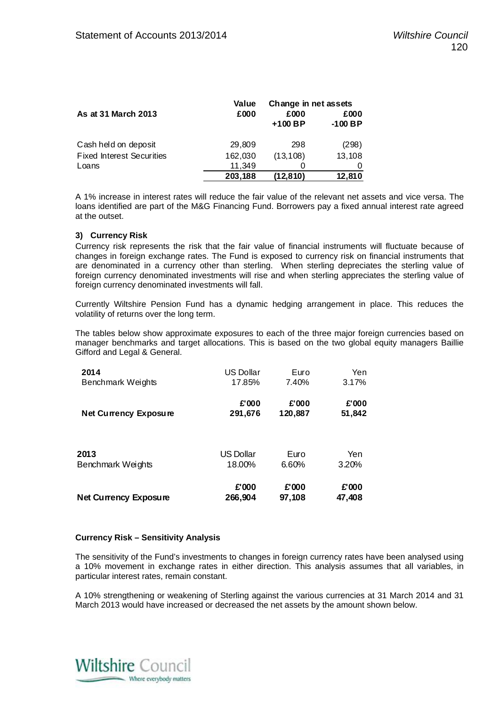|                                  | Value   | Change in net assets |                   |
|----------------------------------|---------|----------------------|-------------------|
| As at 31 March 2013              | £000    | £000<br>$+100$ BP    | £000<br>$-100$ BP |
| Cash held on deposit             | 29,809  | 298                  | (298)             |
| <b>Fixed Interest Securities</b> | 162,030 | (13, 108)            | 13,108            |
| Loans                            | 11,349  |                      |                   |
|                                  | 203,188 | (12, 810)            | 12,810            |

A 1% increase in interest rates will reduce the fair value of the relevant net assets and vice versa. The loans identified are part of the M&G Financing Fund. Borrowers pay a fixed annual interest rate agreed at the outset.

#### **3) Currency Risk**

Currency risk represents the risk that the fair value of financial instruments will fluctuate because of changes in foreign exchange rates. The Fund is exposed to currency risk on financial instruments that are denominated in a currency other than sterling. When sterling depreciates the sterling value of foreign currency denominated investments will rise and when sterling appreciates the sterling value of foreign currency denominated investments will fall.

Currently Wiltshire Pension Fund has a dynamic hedging arrangement in place. This reduces the volatility of returns over the long term.

The tables below show approximate exposures to each of the three major foreign currencies based on manager benchmarks and target allocations. This is based on the two global equity managers Baillie Gifford and Legal & General.

| 2014                         | <b>US Dollar</b> | Euro    | Yen    |
|------------------------------|------------------|---------|--------|
| Benchmark Weights            | 17.85%           | 7.40%   | 3.17%  |
| <b>Net Currency Exposure</b> | £'000            | £'000   | £'000  |
|                              | 291,676          | 120,887 | 51,842 |
| 2013                         | <b>US Dollar</b> | Euro    | Yen    |
| Benchmark Weights            | 18.00%           | 6.60%   | 3.20%  |
| <b>Net Currency Exposure</b> | £'000            | £'000   | £'000  |
|                              | 266,904          | 97,108  | 47,408 |

#### **Currency Risk – Sensitivity Analysis**

The sensitivity of the Fund's investments to changes in foreign currency rates have been analysed using a 10% movement in exchange rates in either direction. This analysis assumes that all variables, in particular interest rates, remain constant.

A 10% strengthening or weakening of Sterling against the various currencies at 31 March 2014 and 31 March 2013 would have increased or decreased the net assets by the amount shown below.

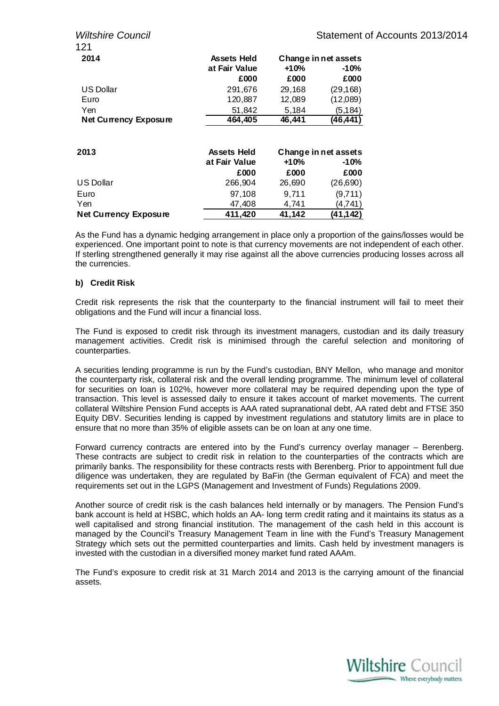| 121                          |                                     |        |                                |
|------------------------------|-------------------------------------|--------|--------------------------------|
| 2014                         | <b>Assets Held</b><br>at Fair Value | +10%   | Change in net assets<br>$-10%$ |
|                              | £000                                | £000   | £000                           |
| <b>US Dollar</b>             | 291,676                             | 29,168 | (29, 168)                      |
| Euro                         | 120,887                             | 12,089 | (12,089)                       |
| Yen                          | 51,842                              | 5,184  | (5, 184)                       |
| <b>Net Currency Exposure</b> | 464,405                             | 46,441 | (46, 441)                      |
| 2013                         | <b>Assets Held</b>                  |        | Change in net assets           |
|                              | at Fair Value                       | +10%   | $-10%$                         |
|                              | £000                                | £000   | £000                           |
| <b>US Dollar</b>             | 266,904                             | 26,690 | (26, 690)                      |
| Euro                         | 97,108                              | 9,711  | (9,711)                        |
| Yen                          | 47,408                              | 4,741  | (4,741)                        |
| <b>Net Currency Exposure</b> | 411,420                             | 41,142 | (41,142)                       |

As the Fund has a dynamic hedging arrangement in place only a proportion of the gains/losses would be experienced. One important point to note is that currency movements are not independent of each other. If sterling strengthened generally it may rise against all the above currencies producing losses across all the currencies.

#### **b) Credit Risk**

Credit risk represents the risk that the counterparty to the financial instrument will fail to meet their obligations and the Fund will incur a financial loss.

The Fund is exposed to credit risk through its investment managers, custodian and its daily treasury management activities. Credit risk is minimised through the careful selection and monitoring of counterparties.

A securities lending programme is run by the Fund's custodian, BNY Mellon, who manage and monitor the counterparty risk, collateral risk and the overall lending programme. The minimum level of collateral for securities on loan is 102%, however more collateral may be required depending upon the type of transaction. This level is assessed daily to ensure it takes account of market movements. The current collateral Wiltshire Pension Fund accepts is AAA rated supranational debt, AA rated debt and FTSE 350 Equity DBV. Securities lending is capped by investment regulations and statutory limits are in place to ensure that no more than 35% of eligible assets can be on loan at any one time.

Forward currency contracts are entered into by the Fund's currency overlay manager – Berenberg. These contracts are subject to credit risk in relation to the counterparties of the contracts which are primarily banks. The responsibility for these contracts rests with Berenberg. Prior to appointment full due diligence was undertaken, they are regulated by BaFin (the German equivalent of FCA) and meet the requirements set out in the LGPS (Management and Investment of Funds) Regulations 2009.

Another source of credit risk is the cash balances held internally or by managers. The Pension Fund's bank account is held at HSBC, which holds an AA- long term credit rating and it maintains its status as a well capitalised and strong financial institution. The management of the cash held in this account is managed by the Council's Treasury Management Team in line with the Fund's Treasury Management Strategy which sets out the permitted counterparties and limits. Cash held by investment managers is invested with the custodian in a diversified money market fund rated AAAm.

The Fund's exposure to credit risk at 31 March 2014 and 2013 is the carrying amount of the financial assets.

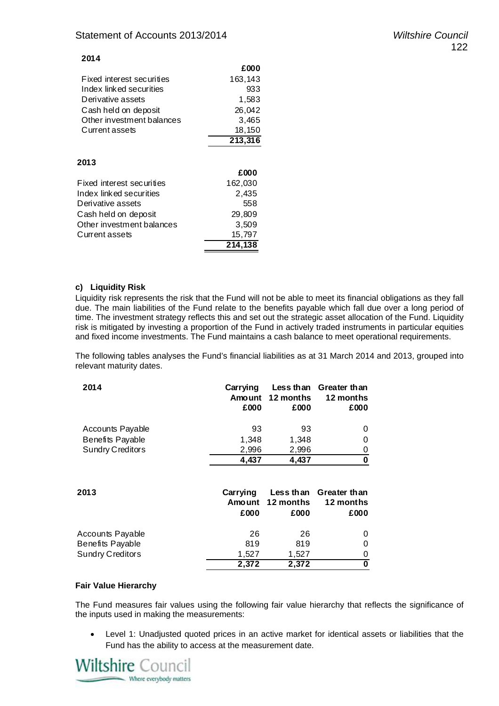#### **2014**

|                           | £000    |
|---------------------------|---------|
| Fixed interest securities | 163,143 |
| Index linked securities   | 933     |
| Derivative assets         | 1,583   |
| Cash held on deposit      | 26,042  |
| Other investment balances | 3,465   |
| Current assets            | 18,150  |
|                           | 213,316 |
| 2013                      | £000    |
| Fixed interest securities | 162,030 |
| Index linked securities   | 2,435   |
| Derivative assets         | 558     |
| Cash held on deposit      | 29,809  |
| Other investment balances | 3,509   |
| Current assets            | 15,797  |
|                           | 214,138 |

#### **c) Liquidity Risk**

Liquidity risk represents the risk that the Fund will not be able to meet its financial obligations as they fall due. The main liabilities of the Fund relate to the benefits payable which fall due over a long period of time. The investment strategy reflects this and set out the strategic asset allocation of the Fund. Liquidity risk is mitigated by investing a proportion of the Fund in actively traded instruments in particular equities and fixed income investments. The Fund maintains a cash balance to meet operational requirements.

The following tables analyses the Fund's financial liabilities as at 31 March 2014 and 2013, grouped into relevant maturity dates.

| 2014                                 | Carrying<br>Amount<br>£000 | 12 months<br>£000              | Less than Greater than<br>12 months<br>£000 |
|--------------------------------------|----------------------------|--------------------------------|---------------------------------------------|
| Accounts Payable                     | 93                         | 93                             | 0                                           |
| Benefits Payable                     | 1,348                      | 1,348                          | 0                                           |
| <b>Sundry Creditors</b>              | 2,996                      | 2,996                          | 0                                           |
|                                      | 4,437                      | 4,437                          | $\bf{0}$                                    |
| 2013                                 | Carrying<br>Amount<br>£000 | Less than<br>12 months<br>£000 | Greater than<br>12 months<br>£000           |
| Accounts Payable<br>Benefits Payable | 26<br>819                  | 26<br>819                      | 0<br>0                                      |
| Sundry Creditors                     | 1,527                      | 1,527                          | 0                                           |
|                                      | 2,372                      | 2,372                          | 0                                           |

#### **Fair Value Hierarchy**

The Fund measures fair values using the following fair value hierarchy that reflects the significance of the inputs used in making the measurements:

 Level 1: Unadjusted quoted prices in an active market for identical assets or liabilities that the Fund has the ability to access at the measurement date.

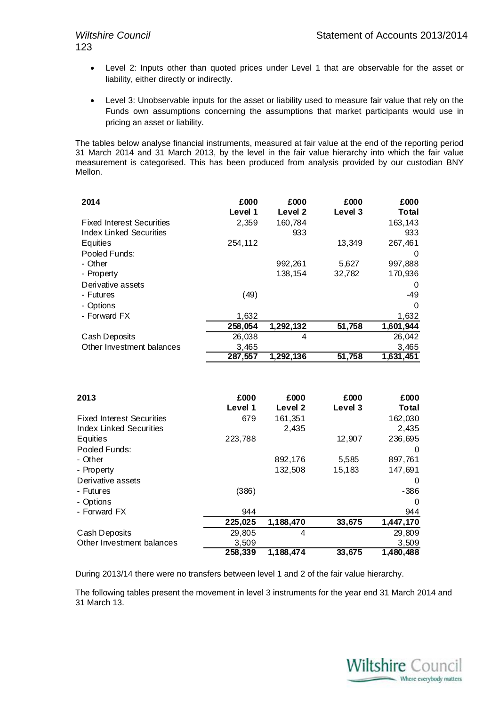- Level 2: Inputs other than quoted prices under Level 1 that are observable for the asset or liability, either directly or indirectly.
- Level 3: Unobservable inputs for the asset or liability used to measure fair value that rely on the Funds own assumptions concerning the assumptions that market participants would use in pricing an asset or liability.

The tables below analyse financial instruments, measured at fair value at the end of the reporting period 31 March 2014 and 31 March 2013, by the level in the fair value hierarchy into which the fair value measurement is categorised. This has been produced from analysis provided by our custodian BNY Mellon.

| 2014                             | £000<br>Level 1 | £000<br>Level 2        | £000<br>Level 3 | £000<br>Total |
|----------------------------------|-----------------|------------------------|-----------------|---------------|
| <b>Fixed Interest Securities</b> | 2,359           | 160,784                |                 | 163,143       |
| Index Linked Securities          |                 | 933                    |                 | 933           |
| Equities                         | 254,112         |                        | 13,349          | 267,461       |
| Pooled Funds:                    |                 |                        |                 | $\Omega$      |
| - Other                          |                 | 992,261                | 5.627           | 997,888       |
| - Property                       |                 | 138,154                | 32,782          | 170,936       |
| Derivative assets                |                 |                        |                 | 0             |
| - Futures                        | (49)            |                        |                 | -49           |
| - Options                        |                 |                        |                 | 0             |
| - Forward FX                     | 1,632           |                        |                 | 1,632         |
|                                  | 258,054         | 1,292,132              | 51,758          | 1,601,944     |
| Cash Deposits                    | 26,038          | 4                      |                 | 26,042        |
| Other Investment balances        | 3,465           |                        |                 | 3,465         |
|                                  | 287,557         | $\overline{1,292,136}$ | 51,758          | 1,631,451     |

| 2013                             | £000<br>Level 1 | £000<br>Level 2 | £000<br>Level 3 | £000<br>Total |
|----------------------------------|-----------------|-----------------|-----------------|---------------|
| <b>Fixed Interest Securities</b> | 679             | 161,351         |                 | 162,030       |
| Index Linked Securities          |                 | 2,435           |                 | 2,435         |
| Equities                         | 223,788         |                 | 12,907          | 236,695       |
| Pooled Funds:                    |                 |                 |                 | 0             |
| - Other                          |                 | 892,176         | 5,585           | 897,761       |
| - Property                       |                 | 132,508         | 15,183          | 147,691       |
| Derivative assets                |                 |                 |                 | 0             |
| - Futures                        | (386)           |                 |                 | $-386$        |
| - Options                        |                 |                 |                 | 0             |
| - Forward FX                     | 944             |                 |                 | 944           |
|                                  | 225,025         | 1,188,470       | 33,675          | 1,447,170     |
| Cash Deposits                    | 29,805          | 4               |                 | 29,809        |
| Other Investment balances        | 3,509           |                 |                 | 3,509         |
|                                  | 258,339         | 1,188,474       | 33,675          | 1,480,488     |

During 2013/14 there were no transfers between level 1 and 2 of the fair value hierarchy.

The following tables present the movement in level 3 instruments for the year end 31 March 2014 and 31 March 13.

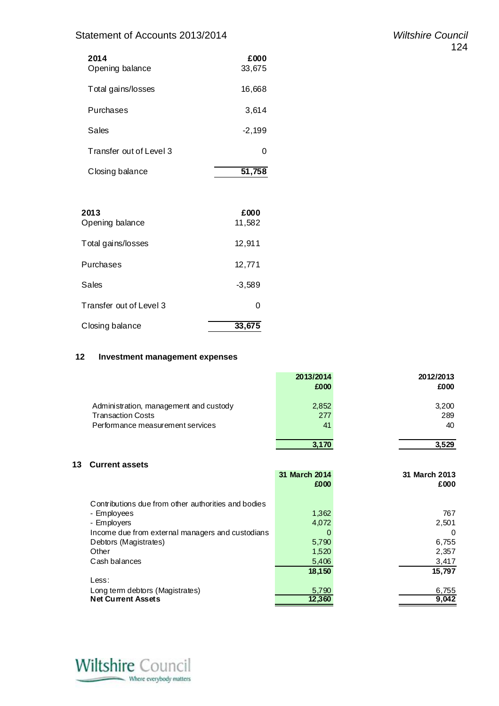### Statement of Accounts 2013/2014 *Wiltshire Council*

| 2014<br>Opening balance | £000<br>33,675 |
|-------------------------|----------------|
| Total gains/losses      | 16,668         |
| Purchases               | 3,614          |
| Sales                   | $-2,199$       |
| Transfer out of Level 3 | O              |
| Closing balance         | 51,758         |

| 2013<br>Opening balance | £000<br>11,582 |
|-------------------------|----------------|
| Total gains/losses      | 12,911         |
| Purchases               | 12,771         |
| Sales                   | $-3,589$       |
| Transfer out of Level 3 | ი              |
| Closing balance         | 33,675         |

#### **12 Investment management expenses**

|                                                                                                        | 2013/2014<br>£000  | 2012/2013<br>£000  |
|--------------------------------------------------------------------------------------------------------|--------------------|--------------------|
| Administration, management and custody<br><b>Transaction Costs</b><br>Performance measurement services | 2,852<br>277<br>41 | 3,200<br>289<br>40 |
|                                                                                                        | 3,170              | 3.529              |

#### **13 Current assets**

|                                                     | 31 March 2014<br>£000 | 31 March 2013<br>£000 |
|-----------------------------------------------------|-----------------------|-----------------------|
|                                                     |                       |                       |
| Contributions due from other authorities and bodies |                       |                       |
| - Employees                                         | 1,362                 | 767                   |
| - Employers                                         | 4,072                 | 2,501                 |
| Income due from external managers and custodians    |                       | $\Omega$              |
| Debtors (Magistrates)                               | 5,790                 | 6,755                 |
| Other                                               | 1,520                 | 2,357                 |
| Cash balances                                       | 5,406                 | 3,417                 |
|                                                     | 18,150                | 15,797                |
| Less:                                               |                       |                       |
| Long term debtors (Magistrates)                     | 5,790                 | 6,755                 |
| <b>Net Current Assets</b>                           | 12,360                | 9,042                 |

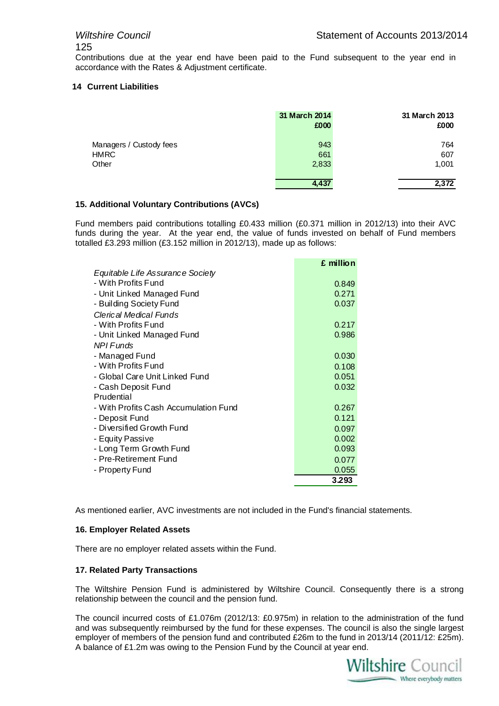Contributions due at the year end have been paid to the Fund subsequent to the year end in accordance with the Rates & Adjustment certificate.

#### **14 Current Liabilities**

|                         | 31 March 2014<br>£000 | 31 March 2013<br>£000 |
|-------------------------|-----------------------|-----------------------|
| Managers / Custody fees | 943                   | 764                   |
| <b>HMRC</b>             | 661                   | 607                   |
| Other                   | 2,833                 | 1,001                 |
|                         | 4,437                 | 2,372                 |

#### **15. Additional Voluntary Contributions (AVCs)**

Fund members paid contributions totalling £0.433 million (£0.371 million in 2012/13) into their AVC funds during the year. At the year end, the value of funds invested on behalf of Fund members totalled £3.293 million (£3.152 million in 2012/13), made up as follows:

|                                       | £ million |
|---------------------------------------|-----------|
| Equitable Life Assurance Society      |           |
| - With Profits Fund                   | 0.849     |
| - Unit Linked Managed Fund            | 0.271     |
| - Building Society Fund               | 0.037     |
| Clerical Medical Funds                |           |
| - With Profits Fund                   | 0.217     |
| - Unit Linked Managed Fund            | 0.986     |
| NPI Funds                             |           |
| - Managed Fund                        | 0.030     |
| - With Profits Fund                   | 0.108     |
| - Global Care Unit Linked Fund        | 0.051     |
| - Cash Deposit Fund                   | 0.032     |
| Prudential                            |           |
| - With Profits Cash Accumulation Fund | 0.267     |
| - Deposit Fund                        | 0.121     |
| - Diversified Growth Fund             | 0.097     |
| - Equity Passive                      | 0.002     |
| - Long Term Growth Fund               | 0.093     |
| - Pre-Retirement Fund                 | 0.077     |
| - Property Fund                       | 0.055     |
|                                       | 3.293     |

As mentioned earlier, AVC investments are not included in the Fund's financial statements.

#### **16. Employer Related Assets**

There are no employer related assets within the Fund.

#### **17. Related Party Transactions**

The Wiltshire Pension Fund is administered by Wiltshire Council. Consequently there is a strong relationship between the council and the pension fund.

The council incurred costs of £1.076m (2012/13: £0.975m) in relation to the administration of the fund and was subsequently reimbursed by the fund for these expenses. The council is also the single largest employer of members of the pension fund and contributed £26m to the fund in 2013/14 (2011/12: £25m). A balance of £1.2m was owing to the Pension Fund by the Council at year end.

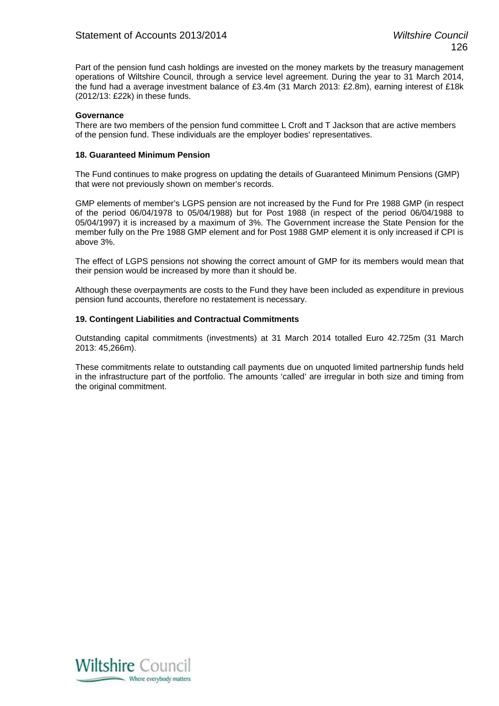Part of the pension fund cash holdings are invested on the money markets by the treasury management operations of Wiltshire Council, through a service level agreement. During the year to 31 March 2014, the fund had a average investment balance of £3.4m (31 March 2013: £2.8m), earning interest of £18k (2012/13: £22k) in these funds.

#### **Governance**

There are two members of the pension fund committee L Croft and T Jackson that are active members of the pension fund. These individuals are the employer bodies' representatives.

#### **18. Guaranteed Minimum Pension**

The Fund continues to make progress on updating the details of Guaranteed Minimum Pensions (GMP) that were not previously shown on member's records.

GMP elements of member's LGPS pension are not increased by the Fund for Pre 1988 GMP (in respect of the period 06/04/1978 to 05/04/1988) but for Post 1988 (in respect of the period 06/04/1988 to 05/04/1997) it is increased by a maximum of 3%. The Government increase the State Pension for the member fully on the Pre 1988 GMP element and for Post 1988 GMP element it is only increased if CPI is above 3%.

The effect of LGPS pensions not showing the correct amount of GMP for its members would mean that their pension would be increased by more than it should be.

Although these overpayments are costs to the Fund they have been included as expenditure in previous pension fund accounts, therefore no restatement is necessary.

#### **19. Contingent Liabilities and Contractual Commitments**

Outstanding capital commitments (investments) at 31 March 2014 totalled Euro 42.725m (31 March 2013: 45,266m).

These commitments relate to outstanding call payments due on unquoted limited partnership funds held in the infrastructure part of the portfolio. The amounts 'called' are irregular in both size and timing from the original commitment.

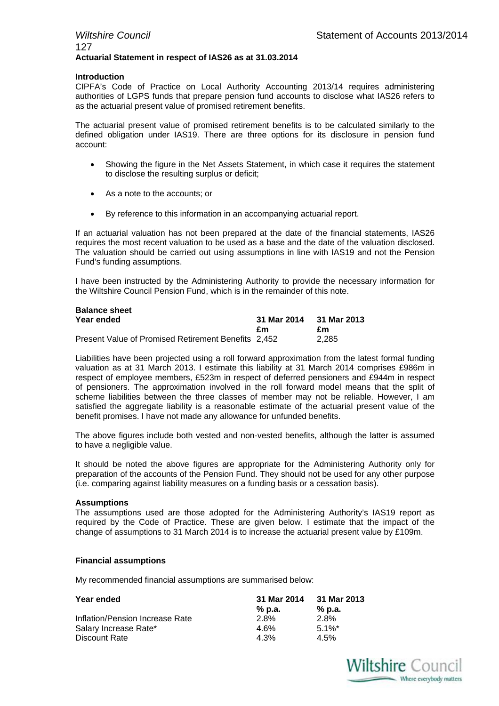#### *Wiltshire Council* **Statement of Accounts 2013/2014** 127 **Actuarial Statement in respect of IAS26 as at 31.03.2014**

#### **Introduction**

CIPFA's Code of Practice on Local Authority Accounting 2013/14 requires administering authorities of LGPS funds that prepare pension fund accounts to disclose what IAS26 refers to as the actuarial present value of promised retirement benefits.

The actuarial present value of promised retirement benefits is to be calculated similarly to the defined obligation under IAS19. There are three options for its disclosure in pension fund account:

- Showing the figure in the Net Assets Statement, in which case it requires the statement to disclose the resulting surplus or deficit;
- As a note to the accounts; or
- By reference to this information in an accompanying actuarial report.

If an actuarial valuation has not been prepared at the date of the financial statements, IAS26 requires the most recent valuation to be used as a base and the date of the valuation disclosed. The valuation should be carried out using assumptions in line with IAS19 and not the Pension Fund's funding assumptions.

I have been instructed by the Administering Authority to provide the necessary information for the Wiltshire Council Pension Fund, which is in the remainder of this note.

| <b>Balance sheet</b>                                |             |             |
|-----------------------------------------------------|-------------|-------------|
| Year ended                                          | 31 Mar 2014 | 31 Mar 2013 |
|                                                     | £m          | £m          |
| Present Value of Promised Retirement Benefits 2,452 |             | 2.285       |

Liabilities have been projected using a roll forward approximation from the latest formal funding valuation as at 31 March 2013. I estimate this liability at 31 March 2014 comprises £986m in respect of employee members, £523m in respect of deferred pensioners and £944m in respect of pensioners. The approximation involved in the roll forward model means that the split of scheme liabilities between the three classes of member may not be reliable. However, I am satisfied the aggregate liability is a reasonable estimate of the actuarial present value of the benefit promises. I have not made any allowance for unfunded benefits.

The above figures include both vested and non-vested benefits, although the latter is assumed to have a negligible value.

It should be noted the above figures are appropriate for the Administering Authority only for preparation of the accounts of the Pension Fund. They should not be used for any other purpose (i.e. comparing against liability measures on a funding basis or a cessation basis).

#### **Assumptions**

The assumptions used are those adopted for the Administering Authority's IAS19 report as required by the Code of Practice. These are given below. I estimate that the impact of the change of assumptions to 31 March 2014 is to increase the actuarial present value by £109m.

#### **Financial assumptions**

My recommended financial assumptions are summarised below:

| Year ended                      | 31 Mar 2014 | 31 Mar 2013 |
|---------------------------------|-------------|-------------|
|                                 | % p.a.      | % p.a.      |
| Inflation/Pension Increase Rate | 2.8%        | 2.8%        |
| Salary Increase Rate*           | $4.6\%$     | $5.1\%$ *   |
| Discount Rate                   | 4.3%        | $4.5\%$     |

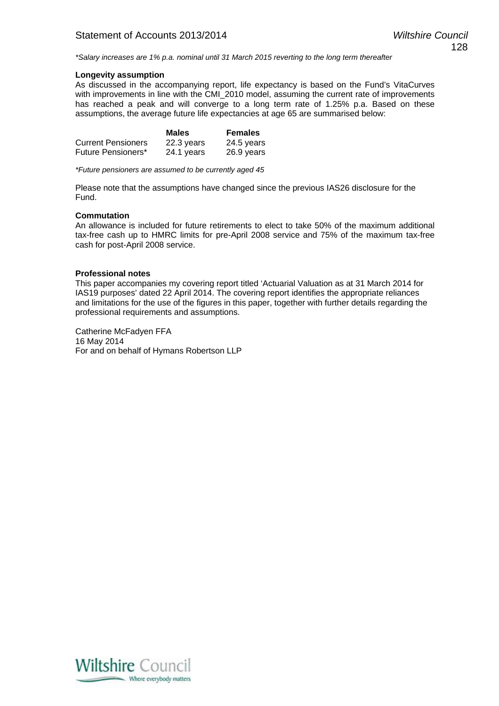*\*Salary increases are 1% p.a. nominal until 31 March 2015 reverting to the long term thereafter* 

#### **Longevity assumption**

As discussed in the accompanying report, life expectancy is based on the Fund's VitaCurves with improvements in line with the CMI\_2010 model, assuming the current rate of improvements has reached a peak and will converge to a long term rate of 1.25% p.a. Based on these assumptions, the average future life expectancies at age 65 are summarised below:

|                           | <b>Males</b> | <b>Females</b> |
|---------------------------|--------------|----------------|
| <b>Current Pensioners</b> | 22.3 years   | 24.5 years     |
| Future Pensioners*        | 24.1 years   | 26.9 years     |

*\*Future pensioners are assumed to be currently aged 45* 

Please note that the assumptions have changed since the previous IAS26 disclosure for the Fund.

#### **Commutation**

An allowance is included for future retirements to elect to take 50% of the maximum additional tax-free cash up to HMRC limits for pre-April 2008 service and 75% of the maximum tax-free cash for post-April 2008 service.

#### **Professional notes**

This paper accompanies my covering report titled 'Actuarial Valuation as at 31 March 2014 for IAS19 purposes' dated 22 April 2014. The covering report identifies the appropriate reliances and limitations for the use of the figures in this paper, together with further details regarding the professional requirements and assumptions.

Catherine McFadyen FFA 16 May 2014 For and on behalf of Hymans Robertson LLP

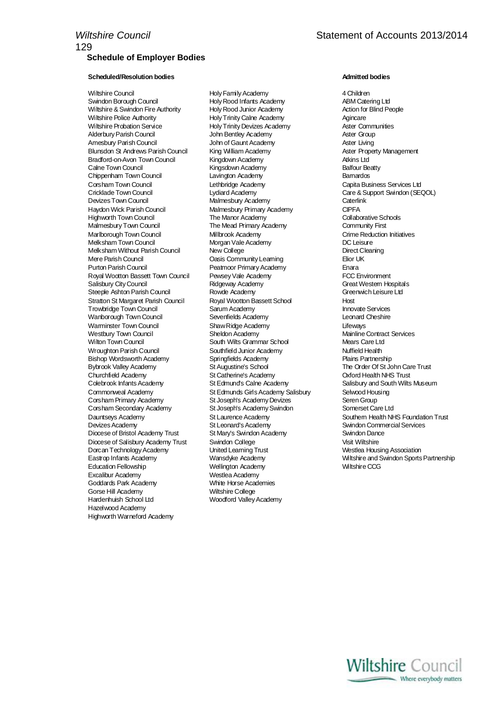#### **Scheduled/Resolution bodies Admitted bodies**

Wiltshire & Swindon Fire Authority Holy Rood Junior Academy Wiltshire Police Authority Holy Trinity Calne Academy Agincare Alderbury Parish Council Amesbury Parish Council John of Gaunt Academy Aster Living Blunsdon St Andrews Parish Council Bradford-on-Avon Town Council Kingdown Academy Atkins Ltd Calne Town Council **Calne Town Council** Kingsdown Academy Chippenham Town Council **Lavington Academy Chippenham Barnardos** Corsham Town Council **Capita Business** Services Ltd Lethbridge Academy Capita Business Services Ltd Cricklade Town Council Lydiard Academy Care & Support Swindon (SEQOL) Haydon Wick Parish Council **Malmesbury Primary Academy** CIPFA<br>Highworth Town Council **Malmesbury The Manor Academy** Collaborative Schools Highworth Town Council Malmesbury Town Council The Mead Primary Academy Community First Marlborough Town Council Millbrook Academy Crime Reduction Initiatives Academy Crime Reduction Initiatives Academy Crime Reduction Institution Inc. Leisure Melksham Without Parish Council New College Direct Cleaning Mere Parish Council **Community Constructs** Community Learning **Constructs** Elior UK Purton Parish Council **Peatmoor Primary Academy Enara** Royal Wootton Bassett Town Council Pewsey Vale Academy FCC Environment Salisbury City Council Ridgeway Academy Great Western Hospitals Steeple Ashton Parish Council **Rowde Academy Council Rowde Academy Council** Greenwich Leisure Ltd Stratton St Margaret Parish Council Council Royal Wootton Bassett School Council Host Host<br>Trowbridge Town Council Council Sarum Academy Trowbridge Town Council Wanborough Town Council Sevenfields Academy Leonard Cheshire Warminster Town Council Shaw Ridge Academy<br>Westbury Town Council Sheldon Academy Wilton Town Council **South Wilts Grammar School** Mears Care Ltd Wroughton Parish Council **Southfield Junior Academy Filter Southfield Health**<br>Bishop Wordsworth Academy **Numer Southfields Academy Filter Southfield Health** Bishop Wordsworth Academy **Springfields Academy** Bybrook Valley Academy St Augustine's School The Order Of St John Care Trust Churchfield Academy St Catherine's Academy Oxford Health NHS Trust Commonweal Academy St Edmunds Girls Academy Salisbury Selwood Housing Corsham Primary Academy St Joseph's Academy Devizes Seren Group Corsham Secondary Academy Devizes Academy St Leonard's Academy Swindon Commercial Services Diocese of Bristol Academy Trust St Mary's Swindon Academy Swindon Dance Diocese of Salisbury Academy Trust Swindon College Visit Wiltshire Dorcan Technology Academy United Learning Trust Westlea Housing Association Education Fellowship Wellington Academy Wiltshire CCG Excalibur Academy<br>
Goddards Park Academy<br>
White Horse Academies Goddards Park Academy Gorse Hill Academy **Wiltshire College**<br>
Hardenhuish School I td **Woodford Valley** Hazelwood Academy Highworth Warneford Academy

Wiltshire Council Holy Family Academy 4 Children Swingth Council Holy Rood Infants Academy<br>Swingth Council Holy Rood Junior Academy Action for Blind People Holy Trinity Devizes Academy **Aster Communities**<br> **John Bentley Academy Academy** Aster Group **Malmesbury Academy** Caterlink Morgan Vale Academy<br>New College Woodford Valley Academy

**Mainline Contract Services** Salisbury and South Wilts Museum Dauntseys Academy St Laurence Academy Southern Health NHS Foundation Trust Eastrop Infants Academy Wansdyke Academy Wiltshire and Swindon Sports Partnership